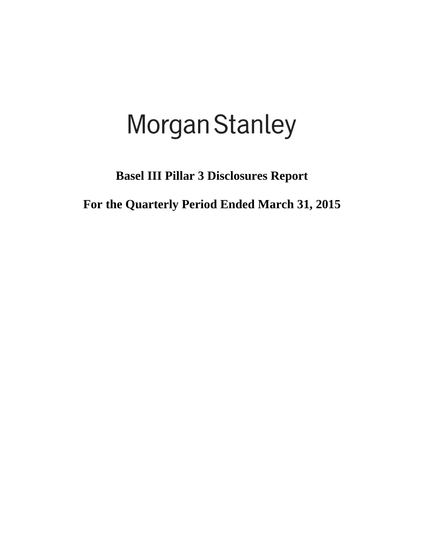# **Morgan Stanley**

**Basel III Pillar 3 Disclosures Report** 

**For the Quarterly Period Ended March 31, 2015**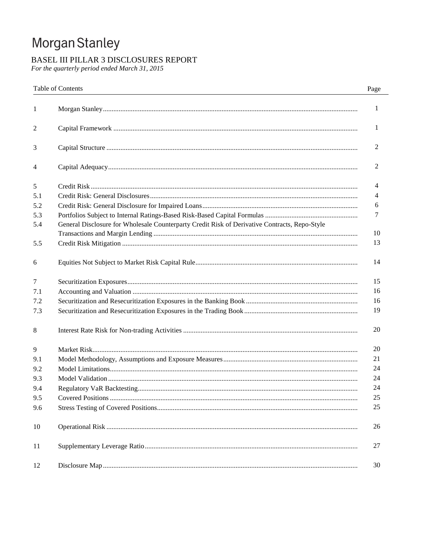# Morgan Stanley

# BASEL III PILLAR 3 DISCLOSURES REPORT

For the quarterly period ended March 31, 2015

|     | <b>Table of Contents</b>                                                                      | Page         |
|-----|-----------------------------------------------------------------------------------------------|--------------|
| 1   |                                                                                               | $\mathbf{1}$ |
| 2   |                                                                                               | 1            |
| 3   |                                                                                               | 2            |
| 4   |                                                                                               | 2            |
| 5   |                                                                                               | 4            |
| 5.1 |                                                                                               | 4            |
| 5.2 |                                                                                               | 6            |
| 5.3 |                                                                                               | 7            |
| 5.4 | General Disclosure for Wholesale Counterparty Credit Risk of Derivative Contracts, Repo-Style |              |
|     |                                                                                               | 10           |
| 5.5 |                                                                                               | 13           |
| 6   |                                                                                               | 14           |
| 7   |                                                                                               | 15           |
| 7.1 |                                                                                               | 16           |
| 7.2 |                                                                                               | 16           |
| 7.3 |                                                                                               | 19           |
| 8   |                                                                                               | 20           |
| 9   |                                                                                               | 20           |
| 9.1 |                                                                                               | 21           |
| 9.2 |                                                                                               | 24           |
| 9.3 |                                                                                               | 24           |
| 9.4 |                                                                                               | 24           |
| 9.5 |                                                                                               | 25           |
| 9.6 |                                                                                               | 25           |
| 10  |                                                                                               | 26           |
| 11  |                                                                                               | 27           |
| 12  |                                                                                               | 30           |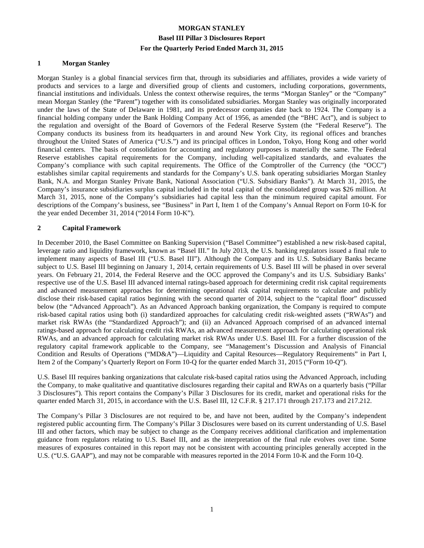#### **1 Morgan Stanley**

Morgan Stanley is a global financial services firm that, through its subsidiaries and affiliates, provides a wide variety of products and services to a large and diversified group of clients and customers, including corporations, governments, financial institutions and individuals. Unless the context otherwise requires, the terms "Morgan Stanley" or the "Company" mean Morgan Stanley (the "Parent") together with its consolidated subsidiaries. Morgan Stanley was originally incorporated under the laws of the State of Delaware in 1981, and its predecessor companies date back to 1924. The Company is a financial holding company under the Bank Holding Company Act of 1956, as amended (the "BHC Act"), and is subject to the regulation and oversight of the Board of Governors of the Federal Reserve System (the "Federal Reserve"). The Company conducts its business from its headquarters in and around New York City, its regional offices and branches throughout the United States of America ("U.S.") and its principal offices in London, Tokyo, Hong Kong and other world financial centers. The basis of consolidation for accounting and regulatory purposes is materially the same. The Federal Reserve establishes capital requirements for the Company, including well-capitalized standards, and evaluates the Company's compliance with such capital requirements. The Office of the Comptroller of the Currency (the "OCC") establishes similar capital requirements and standards for the Company's U.S. bank operating subsidiaries Morgan Stanley Bank, N.A. and Morgan Stanley Private Bank, National Association ("U.S. Subsidiary Banks"). At March 31, 2015, the Company's insurance subsidiaries surplus capital included in the total capital of the consolidated group was \$26 million. At March 31, 2015, none of the Company's subsidiaries had capital less than the minimum required capital amount. For descriptions of the Company's business, see "Business" in Part I, Item 1 of the Company's Annual Report on Form 10-K for the year ended December 31, 2014 ("2014 Form 10-K").

#### **2 Capital Framework**

In December 2010, the Basel Committee on Banking Supervision ("Basel Committee") established a new risk-based capital, leverage ratio and liquidity framework, known as "Basel III." In July 2013, the U.S. banking regulators issued a final rule to implement many aspects of Basel III ("U.S. Basel III"). Although the Company and its U.S. Subsidiary Banks became subject to U.S. Basel III beginning on January 1, 2014, certain requirements of U.S. Basel III will be phased in over several years. On February 21, 2014, the Federal Reserve and the OCC approved the Company's and its U.S. Subsidiary Banks' respective use of the U.S. Basel III advanced internal ratings-based approach for determining credit risk capital requirements and advanced measurement approaches for determining operational risk capital requirements to calculate and publicly disclose their risk-based capital ratios beginning with the second quarter of 2014, subject to the "capital floor" discussed below (the "Advanced Approach"). As an Advanced Approach banking organization, the Company is required to compute risk-based capital ratios using both (i) standardized approaches for calculating credit risk-weighted assets ("RWAs") and market risk RWAs (the "Standardized Approach"); and (ii) an Advanced Approach comprised of an advanced internal ratings-based approach for calculating credit risk RWAs, an advanced measurement approach for calculating operational risk RWAs, and an advanced approach for calculating market risk RWAs under U.S. Basel III. For a further discussion of the regulatory capital framework applicable to the Company, see "Management's Discussion and Analysis of Financial Condition and Results of Operations ("MD&A")—Liquidity and Capital Resources—Regulatory Requirements" in Part I, Item 2 of the Company's Quarterly Report on Form 10-Q for the quarter ended March 31, 2015 ("Form 10-Q").

U.S. Basel III requires banking organizations that calculate risk-based capital ratios using the Advanced Approach, including the Company, to make qualitative and quantitative disclosures regarding their capital and RWAs on a quarterly basis ("Pillar 3 Disclosures"). This report contains the Company's Pillar 3 Disclosures for its credit, market and operational risks for the quarter ended March 31, 2015, in accordance with the U.S. Basel III, 12 C.F.R. § 217.171 through 217.173 and 217.212.

The Company's Pillar 3 Disclosures are not required to be, and have not been, audited by the Company's independent registered public accounting firm. The Company's Pillar 3 Disclosures were based on its current understanding of U.S. Basel III and other factors, which may be subject to change as the Company receives additional clarification and implementation guidance from regulators relating to U.S. Basel III, and as the interpretation of the final rule evolves over time. Some measures of exposures contained in this report may not be consistent with accounting principles generally accepted in the U.S. ("U.S. GAAP"), and may not be comparable with measures reported in the 2014 Form 10-K and the Form 10-Q.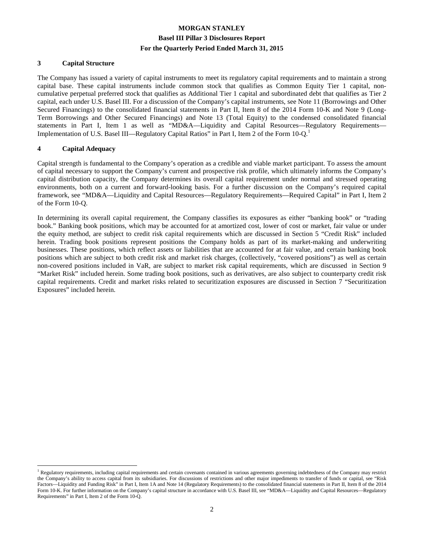#### **3 Capital Structure**

The Company has issued a variety of capital instruments to meet its regulatory capital requirements and to maintain a strong capital base. These capital instruments include common stock that qualifies as Common Equity Tier 1 capital, noncumulative perpetual preferred stock that qualifies as Additional Tier 1 capital and subordinated debt that qualifies as Tier 2 capital, each under U.S. Basel III. For a discussion of the Company's capital instruments, see Note 11 (Borrowings and Other Secured Financings) to the consolidated financial statements in Part II, Item 8 of the 2014 Form 10-K and Note 9 (Long-Term Borrowings and Other Secured Financings) and Note 13 (Total Equity) to the condensed consolidated financial statements in Part I, Item 1 as well as "MD&A—Liquidity and Capital Resources—Regulatory Requirements— Implementation of U.S. Basel III—Regulatory Capital Ratios" in Part I, Item 2 of the Form 10-Q.<sup>1</sup>

#### **4 Capital Adequacy**

l

Capital strength is fundamental to the Company's operation as a credible and viable market participant. To assess the amount of capital necessary to support the Company's current and prospective risk profile, which ultimately informs the Company's capital distribution capacity, the Company determines its overall capital requirement under normal and stressed operating environments, both on a current and forward-looking basis. For a further discussion on the Company's required capital framework, see "MD&A—Liquidity and Capital Resources—Regulatory Requirements—Required Capital" in Part I, Item 2 of the Form 10-Q.

In determining its overall capital requirement, the Company classifies its exposures as either "banking book" or "trading book." Banking book positions, which may be accounted for at amortized cost, lower of cost or market, fair value or under the equity method, are subject to credit risk capital requirements which are discussed in Section 5 "Credit Risk" included herein. Trading book positions represent positions the Company holds as part of its market-making and underwriting businesses. These positions, which reflect assets or liabilities that are accounted for at fair value, and certain banking book positions which are subject to both credit risk and market risk charges, (collectively, "covered positions") as well as certain non-covered positions included in VaR, are subject to market risk capital requirements, which are discussed in Section 9 "Market Risk" included herein. Some trading book positions, such as derivatives, are also subject to counterparty credit risk capital requirements. Credit and market risks related to securitization exposures are discussed in Section 7 "Securitization Exposures" included herein.

<sup>&</sup>lt;sup>1</sup> Regulatory requirements, including capital requirements and certain covenants contained in various agreements governing indebtedness of the Company may restrict the Company's ability to access capital from its subsidiaries. For discussions of restrictions and other major impediments to transfer of funds or capital, see "Risk Factors—Liquidity and Funding Risk" in Part I, Item 1A and Note 14 (Regulatory Requirements) to the consolidated financial statements in Part II, Item 8 of the 2014 Form 10-K. For further information on the Company's capital structure in accordance with U.S. Basel III, see "MD&A—Liquidity and Capital Resources—Regulatory Requirements" in Part I, Item 2 of the Form 10-Q.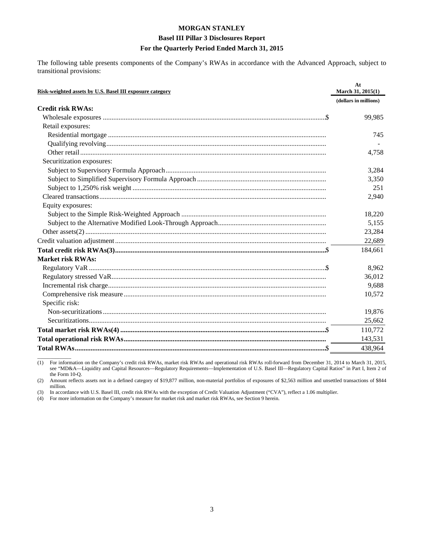# **MORGAN STANLEY Basel III Pillar 3 Disclosures Report**

#### **For the Quarterly Period Ended March 31, 2015**

The following table presents components of the Company's RWAs in accordance with the Advanced Approach, subject to transitional provisions:

| Risk-weighted assets by U.S. Basel III exposure category | At<br>March 31, 2015(1) |
|----------------------------------------------------------|-------------------------|
|                                                          | (dollars in millions)   |
| <b>Credit risk RWAs:</b>                                 |                         |
|                                                          | 99,985                  |
| Retail exposures:                                        |                         |
|                                                          | 745                     |
|                                                          |                         |
|                                                          | 4,758                   |
| Securitization exposures:                                |                         |
|                                                          | 3,284                   |
|                                                          | 3,350                   |
|                                                          | 251                     |
|                                                          | 2,940                   |
| Equity exposures:                                        |                         |
|                                                          | 18,220                  |
|                                                          | 5,155                   |
|                                                          | 23,284                  |
|                                                          | 22,689                  |
|                                                          | 184,661                 |
| <b>Market risk RWAs:</b>                                 |                         |
|                                                          | 8,962                   |
|                                                          | 36,012                  |
|                                                          | 9,688                   |
|                                                          | 10,572                  |
| Specific risk:                                           |                         |
|                                                          | 19,876                  |
|                                                          | 25,662                  |
|                                                          | 110,772                 |
|                                                          | 143,531                 |
|                                                          | 438,964                 |

 $\overline{\phantom{a}}$  , where  $\overline{\phantom{a}}$ (1) For information on the Company's credit risk RWAs, market risk RWAs and operational risk RWAs roll-forward from December 31, 2014 to March 31, 2015, see "MD&A—Liquidity and Capital Resources—Regulatory Requirements—Implementation of U.S. Basel III—Regulatory Capital Ratios" in Part I, Item 2 of the Form 10-Q.

(2) Amount reflects assets not in a defined category of \$19,877 million, non-material portfolios of exposures of \$2,563 million and unsettled transactions of \$844 million.

(3) In accordance with U.S. Basel III, credit risk RWAs with the exception of Credit Valuation Adjustment ("CVA"), reflect a 1.06 multiplier.

(4) For more information on the Company's measure for market risk and market risk RWAs, see Section 9 herein.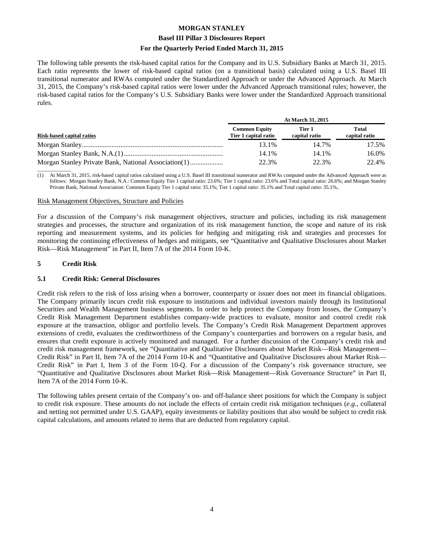#### **Basel III Pillar 3 Disclosures Report**

#### **For the Quarterly Period Ended March 31, 2015**

The following table presents the risk-based capital ratios for the Company and its U.S. Subsidiary Banks at March 31, 2015. Each ratio represents the lower of risk-based capital ratios (on a transitional basis) calculated using a U.S. Basel III transitional numerator and RWAs computed under the Standardized Approach or under the Advanced Approach. At March 31, 2015, the Company's risk-based capital ratios were lower under the Advanced Approach transitional rules; however, the risk-based capital ratios for the Company's U.S. Subsidiary Banks were lower under the Standardized Approach transitional rules.

|                           | At March 31, 2015                            |                         |                        |  |  |  |  |  |
|---------------------------|----------------------------------------------|-------------------------|------------------------|--|--|--|--|--|
| Risk-based capital ratios | <b>Common Equity</b><br>Tier 1 capital ratio | Tier 1<br>capital ratio | Total<br>capital ratio |  |  |  |  |  |
|                           | 13.1%                                        | 14.7%                   | 17.5%                  |  |  |  |  |  |
|                           | 14.1%                                        | 14.1%                   | 16.0%                  |  |  |  |  |  |
|                           | 22.3%                                        | 22.3%                   | 22.4%                  |  |  |  |  |  |

 $\overline{\phantom{a}}$  , where  $\overline{\phantom{a}}$ (1) At March 31, 2015, risk-based capital ratios calculated using a U.S. Basel III transitional numerator and RWAs computed under the Advanced Approach were as follows: Morgan Stanley Bank, N.A.: Common Equity Tier 1 capital ratio: 23.6%; Tier 1 capital ratio: 23.6% and Total capital ratio: 26.6%; and Morgan Stanley Private Bank, National Association: Common Equity Tier 1 capital ratio: 35.1%; Tier 1 capital ratio: 35.1% and Total capital ratio: 35.1%.

#### Risk Management Objectives, Structure and Policies

For a discussion of the Company's risk management objectives, structure and policies, including its risk management strategies and processes, the structure and organization of its risk management function, the scope and nature of its risk reporting and measurement systems, and its policies for hedging and mitigating risk and strategies and processes for monitoring the continuing effectiveness of hedges and mitigants, see "Quantitative and Qualitative Disclosures about Market Risk—Risk Management" in Part II, Item 7A of the 2014 Form 10-K.

#### **5 Credit Risk**

#### **5.1 Credit Risk: General Disclosures**

Credit risk refers to the risk of loss arising when a borrower, counterparty or issuer does not meet its financial obligations. The Company primarily incurs credit risk exposure to institutions and individual investors mainly through its Institutional Securities and Wealth Management business segments. In order to help protect the Company from losses, the Company's Credit Risk Management Department establishes company-wide practices to evaluate, monitor and control credit risk exposure at the transaction, obligor and portfolio levels. The Company's Credit Risk Management Department approves extensions of credit, evaluates the creditworthiness of the Company's counterparties and borrowers on a regular basis, and ensures that credit exposure is actively monitored and managed. For a further discussion of the Company's credit risk and credit risk management framework, see "Quantitative and Qualitative Disclosures about Market Risk—Risk Management— Credit Risk" in Part II, Item 7A of the 2014 Form 10-K and "Quantitative and Qualitative Disclosures about Market Risk— Credit Risk" in Part I, Item 3 of the Form 10-Q. For a discussion of the Company's risk governance structure, see "Quantitative and Qualitative Disclosures about Market Risk—Risk Management—Risk Governance Structure" in Part II, Item 7A of the 2014 Form 10-K.

The following tables present certain of the Company's on- and off-balance sheet positions for which the Company is subject to credit risk exposure. These amounts do not include the effects of certain credit risk mitigation techniques (*e.g.*, collateral and netting not permitted under U.S. GAAP), equity investments or liability positions that also would be subject to credit risk capital calculations, and amounts related to items that are deducted from regulatory capital.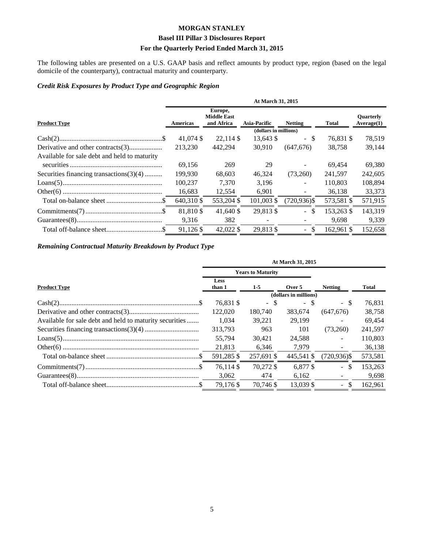#### **Basel III Pillar 3 Disclosures Report**

#### **For the Quarterly Period Ended March 31, 2015**

The following tables are presented on a U.S. GAAP basis and reflect amounts by product type, region (based on the legal domicile of the counterparty), contractual maturity and counterparty.

#### *Credit Risk Exposures by Product Type and Geographic Region*

|                                              | At March 31, 2015 |                                             |                       |                                 |              |                                |  |  |  |
|----------------------------------------------|-------------------|---------------------------------------------|-----------------------|---------------------------------|--------------|--------------------------------|--|--|--|
| <b>Product Type</b>                          | Americas          | Europe,<br><b>Middle East</b><br>and Africa | <b>Asia-Pacific</b>   | <b>Netting</b>                  | <b>Total</b> | <b>Ouarterly</b><br>Average(1) |  |  |  |
|                                              |                   |                                             | (dollars in millions) |                                 |              |                                |  |  |  |
|                                              | 41,074 \$         | 22.114 \$                                   | 13,643 \$             | $-$ \$                          | 76.831 \$    | 78,519                         |  |  |  |
|                                              | 213.230           | 442.294                                     | 30.910                | (647, 676)                      | 38,758       | 39,144                         |  |  |  |
| Available for sale debt and held to maturity |                   |                                             |                       |                                 |              |                                |  |  |  |
|                                              | 69,156            | 269                                         | 29                    |                                 | 69.454       | 69,380                         |  |  |  |
| Securities financing transactions $(3)(4)$   | 199,930           | 68,603                                      | 46,324                | (73,260)                        | 241,597      | 242,605                        |  |  |  |
|                                              | 100,237           | 7.370                                       | 3.196                 | $\blacksquare$                  | 110,803      | 108,894                        |  |  |  |
|                                              | 16,683            | 12,554                                      | 6,901                 | $\overline{\phantom{a}}$        | 36,138       | 33,373                         |  |  |  |
|                                              | 640,310 \$        | 553,204 \$                                  | 101,003 \$            | $(720, 936)$ \$                 | 573,581 \$   | 571,915                        |  |  |  |
|                                              | 81,810 \$         | 41.640 \$                                   | 29,813 \$             | -S<br>$\mathbb{Z}^{\mathbb{Z}}$ | 153.263 \$   | 143,319                        |  |  |  |
|                                              | 9,316             | 382                                         |                       |                                 | 9,698        | 9,339                          |  |  |  |
|                                              | 91,126 \$         | 42,022 \$                                   | 29.813 \$             | $-$ \$                          | 162.961 \$   | 152,658                        |  |  |  |

#### *Remaining Contractual Maturity Breakdown by Product Type*

|                                                         | At March 31, 2015 |                          |                       |                  |         |  |  |
|---------------------------------------------------------|-------------------|--------------------------|-----------------------|------------------|---------|--|--|
|                                                         |                   | <b>Years to Maturity</b> |                       |                  |         |  |  |
| <b>Product Type</b>                                     | Less<br>than 1    | $1-5$                    | Over 5                | <b>Netting</b>   | Total   |  |  |
|                                                         |                   |                          | (dollars in millions) |                  |         |  |  |
|                                                         | 76,831 \$         | - \$                     | - \$                  | - \$             | 76,831  |  |  |
|                                                         | 122,020           | 180,740                  | 383.674               | (647, 676)       | 38,758  |  |  |
| Available for sale debt and held to maturity securities | 1.034             | 39,221                   | 29.199                | $\sim$           | 69,454  |  |  |
|                                                         | 313.793           | 963                      | 101                   | (73,260)         | 241,597 |  |  |
|                                                         | 55.794            | 30.421                   | 24.588                | $\sim$           | 110,803 |  |  |
|                                                         | 21,813            | 6,346                    | 7,979                 |                  | 36,138  |  |  |
|                                                         | 591,285 \$        | 257,691 \$               | 445,541 \$            | (720,936)\$      | 573,581 |  |  |
|                                                         | 76.114 \$         | 70.272 \$                | 6.877 \$              | $\omega$ .<br>-S | 153,263 |  |  |
|                                                         | 3,062             | 474                      | 6,162                 |                  | 9,698   |  |  |
|                                                         | 79,176 \$         | 70.746 \$                | 13.039 \$             | \$.<br>÷.        | 162.961 |  |  |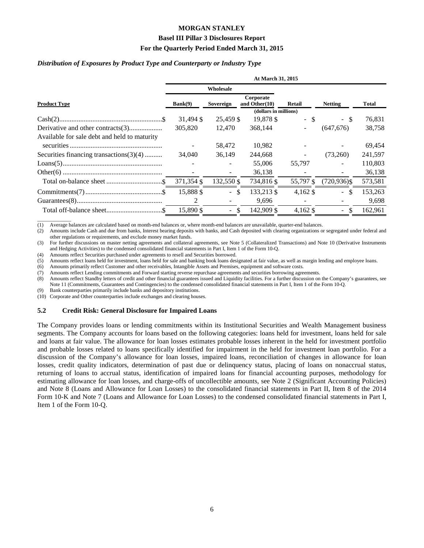#### **Basel III Pillar 3 Disclosures Report**

#### **For the Quarterly Period Ended March 31, 2015**

#### *Distribution of Exposures by Product Type and Counterparty or Industry Type*

|                                              | At March 31, 2015 |                           |                            |            |                           |              |  |  |  |
|----------------------------------------------|-------------------|---------------------------|----------------------------|------------|---------------------------|--------------|--|--|--|
|                                              |                   | Wholesale                 |                            |            |                           |              |  |  |  |
| <b>Product Type</b>                          | Bank(9)           | Sovereign                 | Corporate<br>and Other(10) | Retail     | <b>Netting</b>            | <b>Total</b> |  |  |  |
|                                              |                   |                           | (dollars in millions)      |            |                           |              |  |  |  |
|                                              | 31,494 \$         | 25,459 \$                 | 19,878 \$                  | - \$       | - \$                      | 76,831       |  |  |  |
| Derivative and other contracts(3)            | 305,820           | 12.470                    | 368,144                    | ÷.         | (647, 676)                | 38,758       |  |  |  |
| Available for sale debt and held to maturity |                   |                           |                            |            |                           |              |  |  |  |
|                                              |                   | 58,472                    | 10,982                     |            |                           | 69,454       |  |  |  |
| Securities financing transactions $(3)(4)$   | 34,040            | 36,149                    | 244,668                    | ÷.         | (73,260)                  | 241,597      |  |  |  |
|                                              |                   |                           | 55,006                     | 55,797     | $\blacksquare$            | 110,803      |  |  |  |
|                                              |                   |                           | 36,138                     |            |                           | 36,138       |  |  |  |
|                                              | 371,354 \$        | 132,550 \$                | 734,816 \$                 | 55,797 \$  | $(720, 936)$ \$           | 573,581      |  |  |  |
|                                              | 15,888 \$         | -S<br>$\omega_{\rm{eff}}$ | 133,213 \$                 | $4,162$ \$ | $-$ \$                    | 153,263      |  |  |  |
|                                              | 2                 |                           | 9,696                      |            |                           | 9,698        |  |  |  |
|                                              | 15,890 \$         | $-$ \$                    | 142,909 \$                 | $4,162$ \$ | -S<br>$\omega_{\rm{eff}}$ | 162,961      |  |  |  |

 $\overline{\phantom{a}}$  , where  $\overline{\phantom{a}}$ (1) Average balances are calculated based on month-end balances or, where month-end balances are unavailable, quarter-end balances.

(2) Amounts include Cash and due from banks, Interest bearing deposits with banks, and Cash deposited with clearing organizations or segregated under federal and other regulations or requirements, and exclude money market funds.

(3) For further discussions on master netting agreements and collateral agreements, see Note 5 (Collateralized Transactions) and Note 10 (Derivative Instruments and Hedging Activities) to the condensed consolidated financial statements in Part I, Item 1 of the Form 10-Q.

(4) Amounts reflect Securities purchased under agreements to resell and Securities borrowed.

(5) Amounts reflect loans held for investment, loans held for sale and banking book loans designated at fair value, as well as margin lending and employee loans.

(6) Amounts primarily reflect Customer and other receivables, Intangible Assets and Premises, equipment and software costs.

(7) Amounts reflect Lending commitments and Forward starting reverse repurchase agreements and securities borrowing agreements.

(8) Amounts reflect Standby letters of credit and other financial guarantees issued and Liquidity facilities. For a further discussion on the Company's guarantees, see Note 11 (Commitments, Guarantees and Contingencies) to the condensed consolidated financial statements in Part I, Item 1 of the Form 10-Q.

(9) Bank counterparties primarily include banks and depository institutions.

(10) Corporate and Other counterparties include exchanges and clearing houses.

#### **5.2 Credit Risk: General Disclosure for Impaired Loans**

The Company provides loans or lending commitments within its Institutional Securities and Wealth Management business segments. The Company accounts for loans based on the following categories: loans held for investment, loans held for sale and loans at fair value. The allowance for loan losses estimates probable losses inherent in the held for investment portfolio and probable losses related to loans specifically identified for impairment in the held for investment loan portfolio. For a discussion of the Company's allowance for loan losses, impaired loans, reconciliation of changes in allowance for loan losses, credit quality indicators, determination of past due or delinquency status, placing of loans on nonaccrual status, returning of loans to accrual status, identification of impaired loans for financial accounting purposes, methodology for estimating allowance for loan losses, and charge-offs of uncollectible amounts, see Note 2 (Significant Accounting Policies) and Note 8 (Loans and Allowance for Loan Losses) to the consolidated financial statements in Part II, Item 8 of the 2014 Form 10-K and Note 7 (Loans and Allowance for Loan Losses) to the condensed consolidated financial statements in Part I, Item 1 of the Form 10-Q.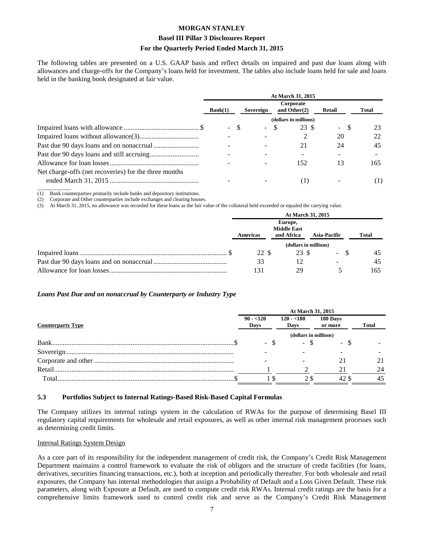#### **Basel III Pillar 3 Disclosures Report**

#### **For the Quarterly Period Ended March 31, 2015**

The following tables are presented on a U.S. GAAP basis and reflect details on impaired and past due loans along with allowances and charge-offs for the Company's loans held for investment. The tables also include loans held for sale and loans held in the banking book designated at fair value.

|                                                       | At March 31, 2015 |    |        |    |                       |        |                              |        |  |       |
|-------------------------------------------------------|-------------------|----|--------|----|-----------------------|--------|------------------------------|--------|--|-------|
|                                                       | Bank(1)           |    |        |    | Sovereign             |        | Corporate<br>and Other $(2)$ | Retail |  | Total |
|                                                       |                   |    |        |    | (dollars in millions) |        |                              |        |  |       |
|                                                       | $\sim$            | -8 | $\sim$ | -S | 23 S                  | $\sim$ | -S                           | 23     |  |       |
|                                                       |                   |    |        |    |                       | 20     |                              | 22     |  |       |
|                                                       |                   |    |        |    | 21                    | 24     |                              | 45     |  |       |
|                                                       |                   |    |        |    |                       |        |                              |        |  |       |
|                                                       |                   |    |        |    | 152                   | 13     |                              | 165    |  |       |
| Net charge-offs (net recoveries) for the three months |                   |    |        |    |                       |        |                              |        |  |       |
|                                                       |                   |    |        |    |                       |        |                              | (1)    |  |       |

 $\overline{\phantom{a}}$  , where  $\overline{\phantom{a}}$ (1) Bank counterparties primarily include banks and depository institutions.

(2) Corporate and Other counterparties include exchanges and clearing houses.

(3) At March 31, 2015, no allowance was recorded for these loans as the fair value of the collateral held exceeded or equaled the carrying value.

| At March 31, 2015 |                                             |                     |              |  |  |  |
|-------------------|---------------------------------------------|---------------------|--------------|--|--|--|
| Americas          | Europe,<br><b>Middle East</b><br>and Africa | <b>Asia-Pacific</b> | <b>Total</b> |  |  |  |
|                   |                                             |                     |              |  |  |  |
| 22 S              | 23 \$                                       | $\Delta \sim 10^4$  | 45           |  |  |  |
| 33                |                                             |                     | 45           |  |  |  |
| 131               | 29                                          |                     | 165          |  |  |  |

#### *Loans Past Due and on nonaccrual by Counterparty or Industry Type*

|                          | At March 31, 2015     |                     |                     |              |  |  |  |  |  |
|--------------------------|-----------------------|---------------------|---------------------|--------------|--|--|--|--|--|
| <b>Counterparty Type</b> | $90 - 120$<br>Days    | $120 - 180$<br>Days | 180 Days<br>or more | <b>Total</b> |  |  |  |  |  |
|                          | (dollars in millions) |                     |                     |              |  |  |  |  |  |
| $Bank$                   |                       | - 8                 | $\sim$              |              |  |  |  |  |  |
|                          |                       |                     |                     |              |  |  |  |  |  |
|                          |                       |                     |                     |              |  |  |  |  |  |
| Retail.                  |                       |                     |                     | 24           |  |  |  |  |  |
| Total                    |                       |                     | 42                  | 45           |  |  |  |  |  |

#### **5.3 Portfolios Subject to Internal Ratings-Based Risk-Based Capital Formulas**

The Company utilizes its internal ratings system in the calculation of RWAs for the purpose of determining Basel III regulatory capital requirements for wholesale and retail exposures, as well as other internal risk management processes such as determining credit limits.

#### Internal Ratings System Design

As a core part of its responsibility for the independent management of credit risk, the Company's Credit Risk Management Department maintains a control framework to evaluate the risk of obligors and the structure of credit facilities (for loans, derivatives, securities financing transactions, etc.), both at inception and periodically thereafter. For both wholesale and retail exposures, the Company has internal methodologies that assign a Probability of Default and a Loss Given Default. These risk parameters, along with Exposure at Default, are used to compute credit risk RWAs. Internal credit ratings are the basis for a comprehensive limits framework used to control credit risk and serve as the Company's Credit Risk Management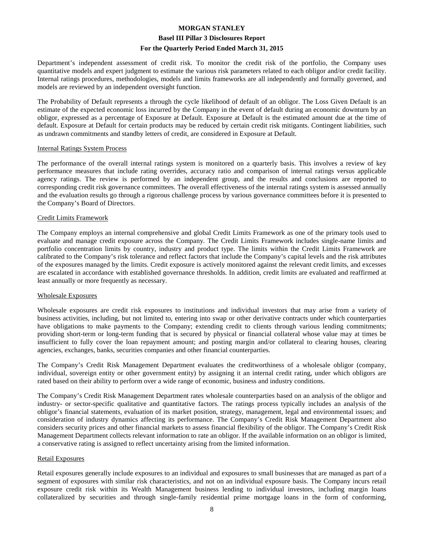Department's independent assessment of credit risk. To monitor the credit risk of the portfolio, the Company uses quantitative models and expert judgment to estimate the various risk parameters related to each obligor and/or credit facility. Internal ratings procedures, methodologies, models and limits frameworks are all independently and formally governed, and models are reviewed by an independent oversight function.

The Probability of Default represents a through the cycle likelihood of default of an obligor. The Loss Given Default is an estimate of the expected economic loss incurred by the Company in the event of default during an economic downturn by an obligor, expressed as a percentage of Exposure at Default. Exposure at Default is the estimated amount due at the time of default. Exposure at Default for certain products may be reduced by certain credit risk mitigants. Contingent liabilities, such as undrawn commitments and standby letters of credit, are considered in Exposure at Default.

#### Internal Ratings System Process

The performance of the overall internal ratings system is monitored on a quarterly basis. This involves a review of key performance measures that include rating overrides, accuracy ratio and comparison of internal ratings versus applicable agency ratings. The review is performed by an independent group, and the results and conclusions are reported to corresponding credit risk governance committees. The overall effectiveness of the internal ratings system is assessed annually and the evaluation results go through a rigorous challenge process by various governance committees before it is presented to the Company's Board of Directors.

#### Credit Limits Framework

The Company employs an internal comprehensive and global Credit Limits Framework as one of the primary tools used to evaluate and manage credit exposure across the Company. The Credit Limits Framework includes single-name limits and portfolio concentration limits by country, industry and product type. The limits within the Credit Limits Framework are calibrated to the Company's risk tolerance and reflect factors that include the Company's capital levels and the risk attributes of the exposures managed by the limits. Credit exposure is actively monitored against the relevant credit limits, and excesses are escalated in accordance with established governance thresholds. In addition, credit limits are evaluated and reaffirmed at least annually or more frequently as necessary.

#### Wholesale Exposures

Wholesale exposures are credit risk exposures to institutions and individual investors that may arise from a variety of business activities, including, but not limited to, entering into swap or other derivative contracts under which counterparties have obligations to make payments to the Company; extending credit to clients through various lending commitments; providing short-term or long-term funding that is secured by physical or financial collateral whose value may at times be insufficient to fully cover the loan repayment amount; and posting margin and/or collateral to clearing houses, clearing agencies, exchanges, banks, securities companies and other financial counterparties.

The Company's Credit Risk Management Department evaluates the creditworthiness of a wholesale obligor (company, individual, sovereign entity or other government entity) by assigning it an internal credit rating, under which obligors are rated based on their ability to perform over a wide range of economic, business and industry conditions.

The Company's Credit Risk Management Department rates wholesale counterparties based on an analysis of the obligor and industry- or sector-specific qualitative and quantitative factors. The ratings process typically includes an analysis of the obligor's financial statements, evaluation of its market position, strategy, management, legal and environmental issues; and consideration of industry dynamics affecting its performance. The Company's Credit Risk Management Department also considers security prices and other financial markets to assess financial flexibility of the obligor. The Company's Credit Risk Management Department collects relevant information to rate an obligor. If the available information on an obligor is limited, a conservative rating is assigned to reflect uncertainty arising from the limited information.

#### Retail Exposures

Retail exposures generally include exposures to an individual and exposures to small businesses that are managed as part of a segment of exposures with similar risk characteristics, and not on an individual exposure basis. The Company incurs retail exposure credit risk within its Wealth Management business lending to individual investors, including margin loans collateralized by securities and through single-family residential prime mortgage loans in the form of conforming,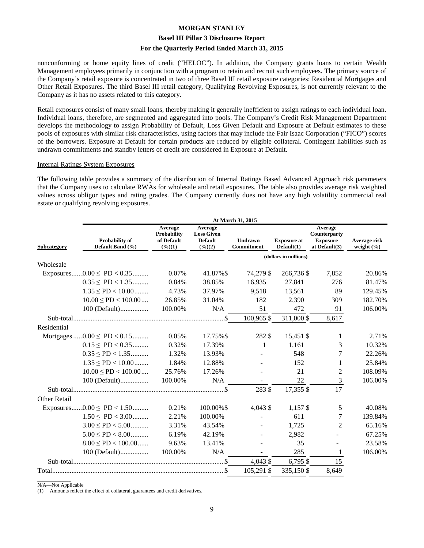#### **Basel III Pillar 3 Disclosures Report**

#### **For the Quarterly Period Ended March 31, 2015**

nonconforming or home equity lines of credit ("HELOC"). In addition, the Company grants loans to certain Wealth Management employees primarily in conjunction with a program to retain and recruit such employees. The primary source of the Company's retail exposure is concentrated in two of three Basel III retail exposure categories: Residential Mortgages and Other Retail Exposures. The third Basel III retail category, Qualifying Revolving Exposures, is not currently relevant to the Company as it has no assets related to this category.

Retail exposures consist of many small loans, thereby making it generally inefficient to assign ratings to each individual loan. Individual loans, therefore, are segmented and aggregated into pools. The Company's Credit Risk Management Department develops the methodology to assign Probability of Default, Loss Given Default and Exposure at Default estimates to these pools of exposures with similar risk characteristics, using factors that may include the Fair Isaac Corporation ("FICO") scores of the borrowers. Exposure at Default for certain products are reduced by eligible collateral. Contingent liabilities such as undrawn commitments and standby letters of credit are considered in Exposure at Default.

#### Internal Ratings System Exposures

The following table provides a summary of the distribution of Internal Ratings Based Advanced Approach risk parameters that the Company uses to calculate RWAs for wholesale and retail exposures. The table also provides average risk weighted values across obligor types and rating grades. The Company currently does not have any high volatility commercial real estate or qualifying revolving exposures.

|                                                   | At March 31, 2015 |                                                          |                                                                   |                              |                                  |                                                             |                                |  |  |  |
|---------------------------------------------------|-------------------|----------------------------------------------------------|-------------------------------------------------------------------|------------------------------|----------------------------------|-------------------------------------------------------------|--------------------------------|--|--|--|
| Probability of<br>Default Band (%)<br>Subcategory |                   | Average<br><b>Probability</b><br>of Default<br>$(\%)(1)$ | Average<br><b>Loss Given</b><br><b>Default</b><br>$(\frac{6}{2})$ | <b>Undrawn</b><br>Commitment | <b>Exposure at</b><br>Default(1) | Average<br>Counterparty<br><b>Exposure</b><br>at Default(3) | Average risk<br>weight $(\% )$ |  |  |  |
|                                                   |                   |                                                          |                                                                   |                              | (dollars in millions)            |                                                             |                                |  |  |  |
| Wholesale                                         |                   |                                                          |                                                                   |                              |                                  |                                                             |                                |  |  |  |
| Exposures $0.00 \leq PD < 0.35$                   |                   | 0.07%                                                    | 41.87%\$                                                          | 74,279 \$                    | 266,736 \$                       | 7,852                                                       | 20.86%                         |  |  |  |
| $0.35 \leq P D < 1.35$                            |                   | 0.84%                                                    | 38.85%                                                            | 16,935                       | 27,841                           | 276                                                         | 81.47%                         |  |  |  |
| $1.35 \leq P D < 10.00$                           |                   | 4.73%                                                    | 37.97%                                                            | 9,518                        | 13,561                           | 89                                                          | 129.45%                        |  |  |  |
| $10.00 \leq PD < 100.00$                          |                   | 26.85%                                                   | 31.04%                                                            | 182                          | 2,390                            | 309                                                         | 182.70%                        |  |  |  |
| 100 (Default)                                     |                   | 100.00%                                                  | N/A                                                               | 51                           | 472                              | 91                                                          | 106.00%                        |  |  |  |
|                                                   |                   |                                                          |                                                                   | 100,965 \$                   | 311,000 \$                       | 8,617                                                       |                                |  |  |  |
| Residential                                       |                   |                                                          |                                                                   |                              |                                  |                                                             |                                |  |  |  |
| Mortgages $0.00 \leq PD < 0.15$                   |                   | 0.05%                                                    | 17.75%\$                                                          | 282 \$                       | 15,451 \$                        | 1                                                           | 2.71%                          |  |  |  |
| $0.15 \leq P D < 0.35$                            |                   | 0.32%                                                    | 17.39%                                                            | 1                            | 1,161                            | 3                                                           | 10.32%                         |  |  |  |
| $0.35 \leq P D < 1.35$                            |                   | 1.32%                                                    | 13.93%                                                            |                              | 548                              | 7                                                           | 22.26%                         |  |  |  |
| $1.35 \leq P D < 10.00$                           |                   | 1.84%                                                    | 12.88%                                                            |                              | 152                              | 1                                                           | 25.84%                         |  |  |  |
| $10.00 \leq P D < 100.00 \dots$                   |                   | 25.76%                                                   | 17.26%                                                            |                              | 21                               | $\overline{2}$                                              | 108.09%                        |  |  |  |
| $100$ (Default)                                   |                   | 100.00%                                                  | N/A                                                               |                              | 22                               | 3                                                           | 106.00%                        |  |  |  |
|                                                   |                   |                                                          |                                                                   | 283 \$                       | 17,355 \$                        | 17                                                          |                                |  |  |  |
| Other Retail                                      |                   |                                                          |                                                                   |                              |                                  |                                                             |                                |  |  |  |
| $.0.00 \leq P D < 1.50$<br>Exposures              |                   | 0.21%                                                    | 100.00%\$                                                         | 4,043 \$                     | $1,157$ \$                       | 5                                                           | 40.08%                         |  |  |  |
| $1.50 \leq PD < 3.00$                             |                   | 2.21%                                                    | 100.00%                                                           |                              | 611                              | 7                                                           | 139.84%                        |  |  |  |
| $3.00 \leq PD < 5.00$                             |                   | 3.31%                                                    | 43.54%                                                            |                              | 1,725                            | $\overline{2}$                                              | 65.16%                         |  |  |  |
| $5.00 \leq P D < 8.00$                            |                   | 6.19%                                                    | 42.19%                                                            |                              | 2,982                            |                                                             | 67.25%                         |  |  |  |
| $8.00 \leq PD < 100.00$                           |                   | 9.63%                                                    | 13.41%                                                            |                              | 35                               |                                                             | 23.58%                         |  |  |  |
| 100 (Default)                                     |                   | 100.00%                                                  | N/A                                                               |                              | 285                              | 1                                                           | 106.00%                        |  |  |  |
|                                                   |                   |                                                          |                                                                   | 4,043 \$                     | $6,795$ \$                       | 15                                                          |                                |  |  |  |
|                                                   |                   |                                                          |                                                                   | 105,291 \$                   | 335,150 \$                       | 8,649                                                       |                                |  |  |  |

 $\overline{\phantom{a}}$  , where  $\overline{\phantom{a}}$ N/A—Not Applicable

(1) Amounts reflect the effect of collateral, guarantees and credit derivatives.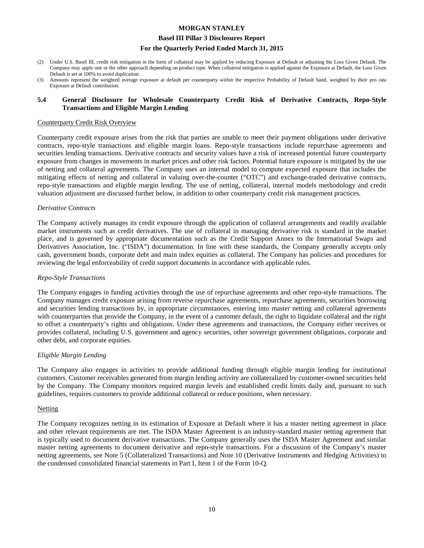#### **Basel III Pillar 3 Disclosures Report**

#### **For the Quarterly Period Ended March 31, 2015**

- (2) Under U.S. Basel III, credit risk mitigation in the form of collateral may be applied by reducing Exposure at Default or adjusting the Loss Given Default. The Company may apply one or the other approach depending on product type. When collateral mitigation is applied against the Exposure at Default, the Loss Given Default is set at 100% to avoid duplication.
- (3) Amounts represent the weighted average exposure at default per counterparty within the respective Probability of Default band, weighted by their pro rata Exposure at Default contribution.

#### **5.4 General Disclosure for Wholesale Counterparty Credit Risk of Derivative Contracts, Repo-Style Transactions and Eligible Margin Lending**

#### Counterparty Credit Risk Overview

Counterparty credit exposure arises from the risk that parties are unable to meet their payment obligations under derivative contracts, repo-style transactions and eligible margin loans. Repo-style transactions include repurchase agreements and securities lending transactions. Derivative contracts and security values have a risk of increased potential future counterparty exposure from changes in movements in market prices and other risk factors. Potential future exposure is mitigated by the use of netting and collateral agreements. The Company uses an internal model to compute expected exposure that includes the mitigating effects of netting and collateral in valuing over-the-counter ("OTC") and exchange-traded derivative contracts, repo-style transactions and eligible margin lending. The use of netting, collateral, internal models methodology and credit valuation adjustment are discussed further below, in addition to other counterparty credit risk management practices.

#### *Derivative Contracts*

The Company actively manages its credit exposure through the application of collateral arrangements and readily available market instruments such as credit derivatives. The use of collateral in managing derivative risk is standard in the market place, and is governed by appropriate documentation such as the Credit Support Annex to the International Swaps and Derivatives Association, Inc. ("ISDA") documentation. In line with these standards, the Company generally accepts only cash, government bonds, corporate debt and main index equities as collateral. The Company has policies and procedures for reviewing the legal enforceability of credit support documents in accordance with applicable rules.

#### *Repo-Style Transactions*

The Company engages in funding activities through the use of repurchase agreements and other repo-style transactions. The Company manages credit exposure arising from reverse repurchase agreements, repurchase agreements, securities borrowing and securities lending transactions by, in appropriate circumstances, entering into master netting and collateral agreements with counterparties that provide the Company, in the event of a customer default, the right to liquidate collateral and the right to offset a counterparty's rights and obligations. Under these agreements and transactions, the Company either receives or provides collateral, including U.S. government and agency securities, other sovereign government obligations, corporate and other debt, and corporate equities.

#### *Eligible Margin Lending*

The Company also engages in activities to provide additional funding through eligible margin lending for institutional customers. Customer receivables generated from margin lending activity are collateralized by customer-owned securities held by the Company. The Company monitors required margin levels and established credit limits daily and, pursuant to such guidelines, requires customers to provide additional collateral or reduce positions, when necessary.

#### Netting

The Company recognizes netting in its estimation of Exposure at Default where it has a master netting agreement in place and other relevant requirements are met. The ISDA Master Agreement is an industry-standard master netting agreement that is typically used to document derivative transactions. The Company generally uses the ISDA Master Agreement and similar master netting agreements to document derivative and repo-style transactions. For a discussion of the Company's master netting agreements, see Note 5 (Collateralized Transactions) and Note 10 (Derivative Instruments and Hedging Activities) to the condensed consolidated financial statements in Part I, Item 1 of the Form 10-Q.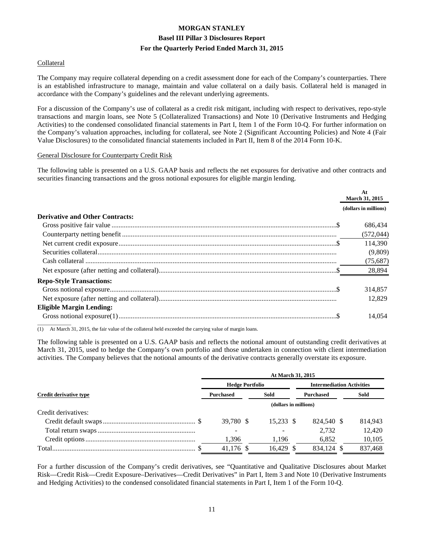#### Collateral

The Company may require collateral depending on a credit assessment done for each of the Company's counterparties. There is an established infrastructure to manage, maintain and value collateral on a daily basis. Collateral held is managed in accordance with the Company's guidelines and the relevant underlying agreements.

For a discussion of the Company's use of collateral as a credit risk mitigant, including with respect to derivatives, repo-style transactions and margin loans, see Note 5 (Collateralized Transactions) and Note 10 (Derivative Instruments and Hedging Activities) to the condensed consolidated financial statements in Part I, Item 1 of the Form 10-Q. For further information on the Company's valuation approaches, including for collateral, see Note 2 (Significant Accounting Policies) and Note 4 (Fair Value Disclosures) to the consolidated financial statements included in Part II, Item 8 of the 2014 Form 10-K.

#### General Disclosure for Counterparty Credit Risk

The following table is presented on a U.S. GAAP basis and reflects the net exposures for derivative and other contracts and securities financing transactions and the gross notional exposures for eligible margin lending.

|                                        | At<br><b>March 31, 2015</b> |
|----------------------------------------|-----------------------------|
|                                        | (dollars in millions)       |
| <b>Derivative and Other Contracts:</b> |                             |
|                                        | 686,434                     |
|                                        | (572, 044)                  |
|                                        | 114,390                     |
|                                        | (9,809)                     |
|                                        | (75,687)                    |
|                                        | 28,894                      |
| <b>Repo-Style Transactions:</b>        |                             |
|                                        | 314,857                     |
|                                        | 12.829                      |
| <b>Eligible Margin Lending:</b>        |                             |
|                                        | 14.054                      |

(1) At March 31, 2015, the fair value of the collateral held exceeded the carrying value of margin loans.

The following table is presented on a U.S. GAAP basis and reflects the notional amount of outstanding credit derivatives at March 31, 2015, used to hedge the Company's own portfolio and those undertaken in connection with client intermediation activities. The Company believes that the notional amounts of the derivative contracts generally overstate its exposure.

|                               | At March 31, 2015      |  |           |  |                                  |  |         |  |  |
|-------------------------------|------------------------|--|-----------|--|----------------------------------|--|---------|--|--|
|                               | <b>Hedge Portfolio</b> |  |           |  | <b>Intermediation Activities</b> |  |         |  |  |
| <b>Credit derivative type</b> | <b>Purchased</b>       |  | Sold      |  | <b>Purchased</b>                 |  | Sold    |  |  |
|                               | (dollars in millions)  |  |           |  |                                  |  |         |  |  |
| Credit derivatives:           |                        |  |           |  |                                  |  |         |  |  |
|                               | 39,780 \$              |  | 15.233 \$ |  | 824,540 \$                       |  | 814,943 |  |  |
|                               |                        |  |           |  | 2.732                            |  | 12,420  |  |  |
|                               | 1,396                  |  | 1,196     |  | 6,852                            |  | 10,105  |  |  |
|                               | 41,176 \$              |  | 16.429    |  | 834.124                          |  | 837,468 |  |  |

For a further discussion of the Company's credit derivatives, see "Quantitative and Qualitative Disclosures about Market Risk—Credit Risk—Credit Exposure–Derivatives—Credit Derivatives" in Part I, Item 3 and Note 10 (Derivative Instruments and Hedging Activities) to the condensed consolidated financial statements in Part I, Item 1 of the Form 10-Q.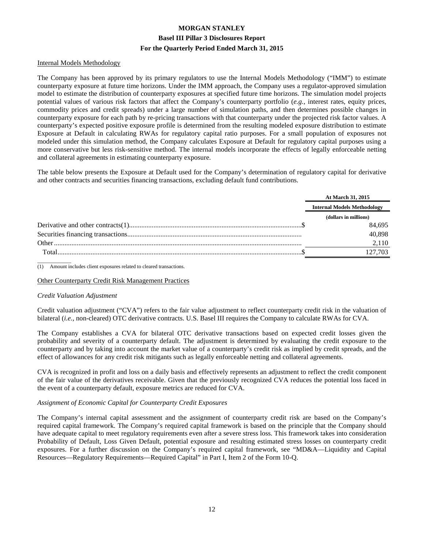#### Internal Models Methodology

The Company has been approved by its primary regulators to use the Internal Models Methodology ("IMM") to estimate counterparty exposure at future time horizons. Under the IMM approach, the Company uses a regulator-approved simulation model to estimate the distribution of counterparty exposures at specified future time horizons. The simulation model projects potential values of various risk factors that affect the Company's counterparty portfolio (*e.g.*, interest rates, equity prices, commodity prices and credit spreads) under a large number of simulation paths, and then determines possible changes in counterparty exposure for each path by re-pricing transactions with that counterparty under the projected risk factor values. A counterparty's expected positive exposure profile is determined from the resulting modeled exposure distribution to estimate Exposure at Default in calculating RWAs for regulatory capital ratio purposes. For a small population of exposures not modeled under this simulation method, the Company calculates Exposure at Default for regulatory capital purposes using a more conservative but less risk-sensitive method. The internal models incorporate the effects of legally enforceable netting and collateral agreements in estimating counterparty exposure.

The table below presents the Exposure at Default used for the Company's determination of regulatory capital for derivative and other contracts and securities financing transactions, excluding default fund contributions.

|       | At March 31, 2015                  |
|-------|------------------------------------|
|       | <b>Internal Models Methodology</b> |
|       | (dollars in millions)              |
|       | 84.695                             |
|       | 40.898                             |
| Other | 2.110                              |
| Total | 127.703                            |

 $\overline{\phantom{a}}$ (1) Amount includes client exposures related to cleared transactions.

#### Other Counterparty Credit Risk Management Practices

#### *Credit Valuation Adjustment*

Credit valuation adjustment ("CVA") refers to the fair value adjustment to reflect counterparty credit risk in the valuation of bilateral (*i.e.,* non-cleared) OTC derivative contracts. U.S. Basel III requires the Company to calculate RWAs for CVA.

The Company establishes a CVA for bilateral OTC derivative transactions based on expected credit losses given the probability and severity of a counterparty default. The adjustment is determined by evaluating the credit exposure to the counterparty and by taking into account the market value of a counterparty's credit risk as implied by credit spreads, and the effect of allowances for any credit risk mitigants such as legally enforceable netting and collateral agreements.

CVA is recognized in profit and loss on a daily basis and effectively represents an adjustment to reflect the credit component of the fair value of the derivatives receivable. Given that the previously recognized CVA reduces the potential loss faced in the event of a counterparty default, exposure metrics are reduced for CVA.

#### *Assignment of Economic Capital for Counterparty Credit Exposures*

The Company's internal capital assessment and the assignment of counterparty credit risk are based on the Company's required capital framework. The Company's required capital framework is based on the principle that the Company should have adequate capital to meet regulatory requirements even after a severe stress loss. This framework takes into consideration Probability of Default, Loss Given Default, potential exposure and resulting estimated stress losses on counterparty credit exposures. For a further discussion on the Company's required capital framework, see "MD&A—Liquidity and Capital Resources—Regulatory Requirements—Required Capital" in Part I, Item 2 of the Form 10-Q.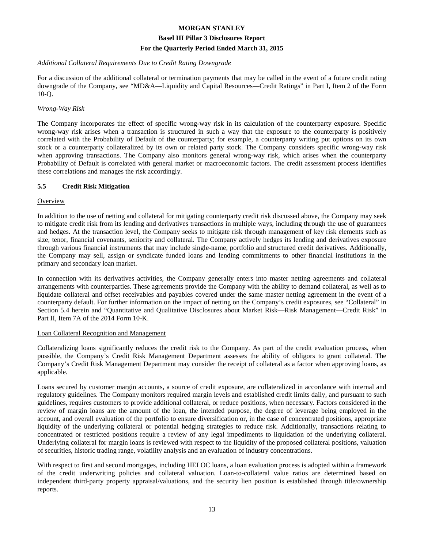#### *Additional Collateral Requirements Due to Credit Rating Downgrade*

For a discussion of the additional collateral or termination payments that may be called in the event of a future credit rating downgrade of the Company, see "MD&A—Liquidity and Capital Resources—Credit Ratings" in Part I, Item 2 of the Form 10-Q.

#### *Wrong-Way Risk*

The Company incorporates the effect of specific wrong-way risk in its calculation of the counterparty exposure. Specific wrong-way risk arises when a transaction is structured in such a way that the exposure to the counterparty is positively correlated with the Probability of Default of the counterparty; for example, a counterparty writing put options on its own stock or a counterparty collateralized by its own or related party stock. The Company considers specific wrong-way risk when approving transactions. The Company also monitors general wrong-way risk, which arises when the counterparty Probability of Default is correlated with general market or macroeconomic factors. The credit assessment process identifies these correlations and manages the risk accordingly.

#### **5.5 Credit Risk Mitigation**

#### **Overview**

In addition to the use of netting and collateral for mitigating counterparty credit risk discussed above, the Company may seek to mitigate credit risk from its lending and derivatives transactions in multiple ways, including through the use of guarantees and hedges. At the transaction level, the Company seeks to mitigate risk through management of key risk elements such as size, tenor, financial covenants, seniority and collateral. The Company actively hedges its lending and derivatives exposure through various financial instruments that may include single-name, portfolio and structured credit derivatives. Additionally, the Company may sell, assign or syndicate funded loans and lending commitments to other financial institutions in the primary and secondary loan market.

In connection with its derivatives activities, the Company generally enters into master netting agreements and collateral arrangements with counterparties. These agreements provide the Company with the ability to demand collateral, as well as to liquidate collateral and offset receivables and payables covered under the same master netting agreement in the event of a counterparty default. For further information on the impact of netting on the Company's credit exposures, see "Collateral" in Section 5.4 herein and "Quantitative and Qualitative Disclosures about Market Risk—Risk Management—Credit Risk" in Part II, Item 7A of the 2014 Form 10-K.

#### Loan Collateral Recognition and Management

Collateralizing loans significantly reduces the credit risk to the Company. As part of the credit evaluation process, when possible, the Company's Credit Risk Management Department assesses the ability of obligors to grant collateral. The Company's Credit Risk Management Department may consider the receipt of collateral as a factor when approving loans, as applicable.

Loans secured by customer margin accounts, a source of credit exposure, are collateralized in accordance with internal and regulatory guidelines. The Company monitors required margin levels and established credit limits daily, and pursuant to such guidelines, requires customers to provide additional collateral, or reduce positions, when necessary. Factors considered in the review of margin loans are the amount of the loan, the intended purpose, the degree of leverage being employed in the account, and overall evaluation of the portfolio to ensure diversification or, in the case of concentrated positions, appropriate liquidity of the underlying collateral or potential hedging strategies to reduce risk. Additionally, transactions relating to concentrated or restricted positions require a review of any legal impediments to liquidation of the underlying collateral. Underlying collateral for margin loans is reviewed with respect to the liquidity of the proposed collateral positions, valuation of securities, historic trading range, volatility analysis and an evaluation of industry concentrations.

With respect to first and second mortgages, including HELOC loans, a loan evaluation process is adopted within a framework of the credit underwriting policies and collateral valuation. Loan-to-collateral value ratios are determined based on independent third-party property appraisal/valuations, and the security lien position is established through title/ownership reports.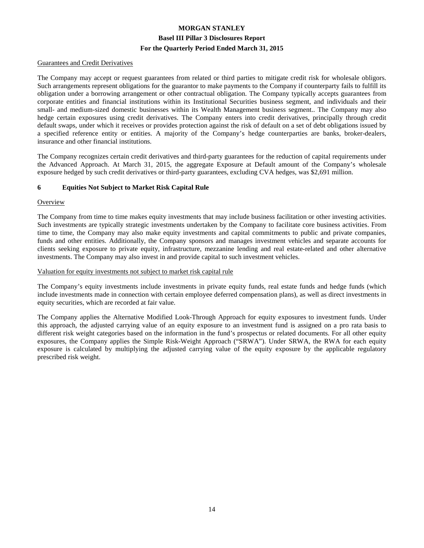#### Guarantees and Credit Derivatives

The Company may accept or request guarantees from related or third parties to mitigate credit risk for wholesale obligors. Such arrangements represent obligations for the guarantor to make payments to the Company if counterparty fails to fulfill its obligation under a borrowing arrangement or other contractual obligation. The Company typically accepts guarantees from corporate entities and financial institutions within its Institutional Securities business segment, and individuals and their small- and medium-sized domestic businesses within its Wealth Management business segment.. The Company may also hedge certain exposures using credit derivatives. The Company enters into credit derivatives, principally through credit default swaps, under which it receives or provides protection against the risk of default on a set of debt obligations issued by a specified reference entity or entities. A majority of the Company's hedge counterparties are banks, broker-dealers, insurance and other financial institutions.

The Company recognizes certain credit derivatives and third-party guarantees for the reduction of capital requirements under the Advanced Approach. At March 31, 2015, the aggregate Exposure at Default amount of the Company's wholesale exposure hedged by such credit derivatives or third-party guarantees, excluding CVA hedges, was \$2,691 million.

#### **6 Equities Not Subject to Market Risk Capital Rule**

#### **Overview**

The Company from time to time makes equity investments that may include business facilitation or other investing activities. Such investments are typically strategic investments undertaken by the Company to facilitate core business activities. From time to time, the Company may also make equity investments and capital commitments to public and private companies, funds and other entities. Additionally, the Company sponsors and manages investment vehicles and separate accounts for clients seeking exposure to private equity, infrastructure, mezzanine lending and real estate-related and other alternative investments. The Company may also invest in and provide capital to such investment vehicles.

#### Valuation for equity investments not subject to market risk capital rule

The Company's equity investments include investments in private equity funds, real estate funds and hedge funds (which include investments made in connection with certain employee deferred compensation plans), as well as direct investments in equity securities, which are recorded at fair value.

The Company applies the Alternative Modified Look-Through Approach for equity exposures to investment funds. Under this approach, the adjusted carrying value of an equity exposure to an investment fund is assigned on a pro rata basis to different risk weight categories based on the information in the fund's prospectus or related documents. For all other equity exposures, the Company applies the Simple Risk-Weight Approach ("SRWA"). Under SRWA, the RWA for each equity exposure is calculated by multiplying the adjusted carrying value of the equity exposure by the applicable regulatory prescribed risk weight.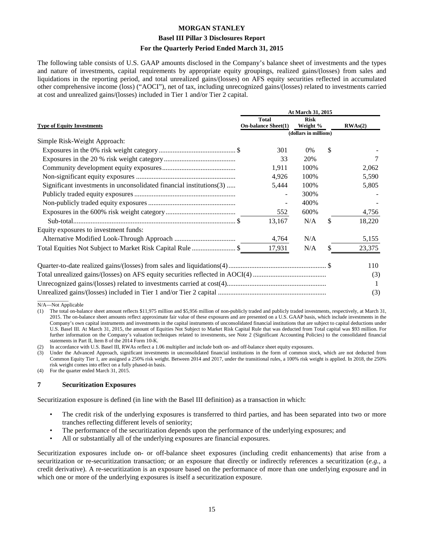#### **Basel III Pillar 3 Disclosures Report**

#### **For the Quarterly Period Ended March 31, 2015**

The following table consists of U.S. GAAP amounts disclosed in the Company's balance sheet of investments and the types and nature of investments, capital requirements by appropriate equity groupings, realized gains/(losses) from sales and liquidations in the reporting period, and total unrealized gains/(losses) on AFS equity securities reflected in accumulated other comprehensive income (loss) ("AOCI"), net of tax, including unrecognized gains/(losses) related to investments carried at cost and unrealized gains/(losses) included in Tier 1 and/or Tier 2 capital.

|                                                                     | At March 31, 2015                          |                         |    |         |
|---------------------------------------------------------------------|--------------------------------------------|-------------------------|----|---------|
| <b>Type of Equity Investments</b>                                   | <b>Total</b><br><b>On-balance Sheet(1)</b> | <b>Risk</b><br>Weight % |    | RWAs(2) |
|                                                                     |                                            | (dollars in millions)   |    |         |
| Simple Risk-Weight Approach:                                        |                                            |                         |    |         |
|                                                                     | 301                                        | $0\%$                   | \$ |         |
|                                                                     | 33                                         | 20%                     |    |         |
|                                                                     | 1,911                                      | 100%                    |    | 2,062   |
|                                                                     | 4,926                                      | 100%                    |    | 5,590   |
| Significant investments in unconsolidated financial institutions(3) | 5,444                                      | 100%                    |    | 5,805   |
|                                                                     |                                            | 300%                    |    |         |
|                                                                     |                                            | 400%                    |    |         |
|                                                                     | 552                                        | 600%                    |    | 4,756   |
|                                                                     | 13,167                                     | N/A                     | \$ | 18,220  |
| Equity exposures to investment funds:                               |                                            |                         |    |         |
|                                                                     | 4,764                                      | N/A                     |    | 5,155   |
|                                                                     | 17,931                                     | N/A                     |    | 23,375  |
|                                                                     |                                            |                         |    | 110     |
|                                                                     |                                            |                         |    | (3)     |
|                                                                     |                                            |                         |    |         |
|                                                                     |                                            |                         |    | (3)     |

 $\overline{\phantom{a}}$ N/A—Not Applicable

(1) The total on-balance sheet amount reflects \$11,975 million and \$5,956 million of non-publicly traded and publicly traded investments, respectively, at March 31, 2015. The on-balance sheet amounts reflect approximate fair value of these exposures and are presented on a U.S. GAAP basis, which include investments in the Company's own capital instruments and investments in the capital instruments of unconsolidated financial institutions that are subject to capital deductions under U.S. Basel III. At March 31, 2015, the amount of Equities Not Subject to Market Risk Capital Rule that was deducted from Total capital was \$93 million. For further information on the Company's valuation techniques related to investments, see Note 2 (Significant Accounting Policies) to the consolidated financial statements in Part II, Item 8 of the 2014 Form 10-K.

In accordance with U.S. Basel III, RWAs reflect a 1.06 multiplier and include both on- and off-balance sheet equity exposures.

(3) Under the Advanced Approach, significant investments in unconsolidated financial institutions in the form of common stock, which are not deducted from Common Equity Tier 1, are assigned a 250% risk weight. Between 2014 and 2017, under the transitional rules, a 100% risk weight is applied. In 2018, the 250% risk weight comes into effect on a fully phased-in basis.

(4) For the quarter ended March 31, 2015.

#### **7 Securitization Exposures**

Securitization exposure is defined (in line with the Basel III definition) as a transaction in which:

- The credit risk of the underlying exposures is transferred to third parties, and has been separated into two or more tranches reflecting different levels of seniority;
- The performance of the securitization depends upon the performance of the underlying exposures; and
- All or substantially all of the underlying exposures are financial exposures.

Securitization exposures include on- or off-balance sheet exposures (including credit enhancements) that arise from a securitization or re-securitization transaction; or an exposure that directly or indirectly references a securitization (*e.g.*, a credit derivative). A re-securitization is an exposure based on the performance of more than one underlying exposure and in which one or more of the underlying exposures is itself a securitization exposure.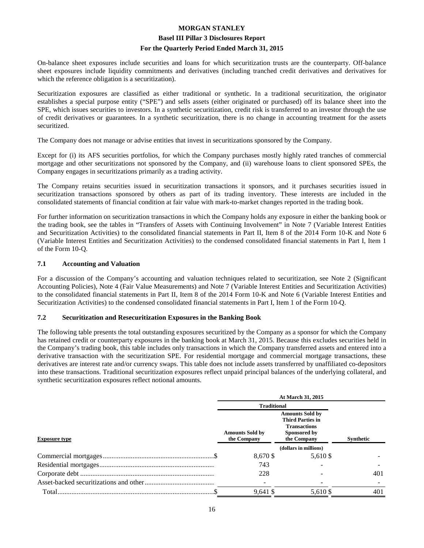#### **Basel III Pillar 3 Disclosures Report**

#### **For the Quarterly Period Ended March 31, 2015**

On-balance sheet exposures include securities and loans for which securitization trusts are the counterparty. Off-balance sheet exposures include liquidity commitments and derivatives (including tranched credit derivatives and derivatives for which the reference obligation is a securitization).

Securitization exposures are classified as either traditional or synthetic. In a traditional securitization, the originator establishes a special purpose entity ("SPE") and sells assets (either originated or purchased) off its balance sheet into the SPE, which issues securities to investors. In a synthetic securitization, credit risk is transferred to an investor through the use of credit derivatives or guarantees. In a synthetic securitization, there is no change in accounting treatment for the assets securitized.

The Company does not manage or advise entities that invest in securitizations sponsored by the Company.

Except for (i) its AFS securities portfolios, for which the Company purchases mostly highly rated tranches of commercial mortgage and other securitizations not sponsored by the Company, and (ii) warehouse loans to client sponsored SPEs, the Company engages in securitizations primarily as a trading activity.

The Company retains securities issued in securitization transactions it sponsors, and it purchases securities issued in securitization transactions sponsored by others as part of its trading inventory. These interests are included in the consolidated statements of financial condition at fair value with mark-to-market changes reported in the trading book.

For further information on securitization transactions in which the Company holds any exposure in either the banking book or the trading book, see the tables in "Transfers of Assets with Continuing Involvement" in Note 7 (Variable Interest Entities and Securitization Activities) to the consolidated financial statements in Part II, Item 8 of the 2014 Form 10-K and Note 6 (Variable Interest Entities and Securitization Activities) to the condensed consolidated financial statements in Part I, Item 1 of the Form 10-Q.

#### **7.1 Accounting and Valuation**

For a discussion of the Company's accounting and valuation techniques related to securitization, see Note 2 (Significant Accounting Policies), Note 4 (Fair Value Measurements) and Note 7 (Variable Interest Entities and Securitization Activities) to the consolidated financial statements in Part II, Item 8 of the 2014 Form 10-K and Note 6 (Variable Interest Entities and Securitization Activities) to the condensed consolidated financial statements in Part I, Item 1 of the Form 10-Q.

#### **7.2 Securitization and Resecuritization Exposures in the Banking Book**

The following table presents the total outstanding exposures securitized by the Company as a sponsor for which the Company has retained credit or counterparty exposures in the banking book at March 31, 2015. Because this excludes securities held in the Company's trading book, this table includes only transactions in which the Company transferred assets and entered into a derivative transaction with the securitization SPE. For residential mortgage and commercial mortgage transactions, these derivatives are interest rate and/or currency swaps. This table does not include assets transferred by unaffiliated co-depositors into these transactions. Traditional securitization exposures reflect unpaid principal balances of the underlying collateral, and synthetic securitization exposures reflect notional amounts.

|                      | At March 31, 2015                     |                                                                                                                             |     |  |
|----------------------|---------------------------------------|-----------------------------------------------------------------------------------------------------------------------------|-----|--|
|                      | <b>Traditional</b>                    |                                                                                                                             |     |  |
| <b>Exposure type</b> | <b>Amounts Sold by</b><br>the Company | <b>Amounts Sold by</b><br><b>Third Parties in</b><br><b>Transactions</b><br>Sponsored by<br><b>Synthetic</b><br>the Company |     |  |
|                      |                                       | (dollars in millions)                                                                                                       |     |  |
|                      | 8,670 \$                              | 5,610 \$                                                                                                                    |     |  |
|                      | 743                                   |                                                                                                                             |     |  |
|                      | 228                                   |                                                                                                                             | 401 |  |
|                      |                                       |                                                                                                                             |     |  |
|                      | 9,641 \$                              | 5,610 \$                                                                                                                    | 401 |  |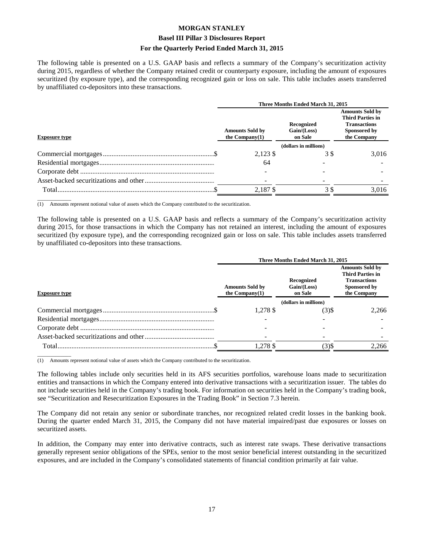#### **Basel III Pillar 3 Disclosures Report**

#### **For the Quarterly Period Ended March 31, 2015**

The following table is presented on a U.S. GAAP basis and reflects a summary of the Company's securitization activity during 2015, regardless of whether the Company retained credit or counterparty exposure, including the amount of exposures securitized (by exposure type), and the corresponding recognized gain or loss on sale. This table includes assets transferred by unaffiliated co-depositors into these transactions.

|                      | Three Months Ended March 31, 2015                                                     |                       |                                                                                                         |  |  |
|----------------------|---------------------------------------------------------------------------------------|-----------------------|---------------------------------------------------------------------------------------------------------|--|--|
| <b>Exposure type</b> | Recognized<br>Gain / (Loss)<br><b>Amounts Sold by</b><br>the Company $(1)$<br>on Sale |                       | <b>Amounts Sold by</b><br><b>Third Parties in</b><br><b>Transactions</b><br>Sponsored by<br>the Company |  |  |
|                      |                                                                                       | (dollars in millions) |                                                                                                         |  |  |
|                      | 2,123 \$                                                                              | 3 S                   | 3,016                                                                                                   |  |  |
|                      | 64                                                                                    |                       |                                                                                                         |  |  |
|                      |                                                                                       |                       |                                                                                                         |  |  |
|                      |                                                                                       |                       |                                                                                                         |  |  |
|                      | 2.187\$                                                                               | 3\$                   | 3.016                                                                                                   |  |  |

 $\overline{\phantom{a}}$  , where  $\overline{\phantom{a}}$ (1) Amounts represent notional value of assets which the Company contributed to the securitization.

The following table is presented on a U.S. GAAP basis and reflects a summary of the Company's securitization activity during 2015, for those transactions in which the Company has not retained an interest, including the amount of exposures securitized (by exposure type), and the corresponding recognized gain or loss on sale. This table includes assets transferred by unaffiliated co-depositors into these transactions.

|                      | Three Months Ended March 31, 2015           |                                      |                                                                                                         |  |
|----------------------|---------------------------------------------|--------------------------------------|---------------------------------------------------------------------------------------------------------|--|
| <b>Exposure type</b> | <b>Amounts Sold by</b><br>the $Common(v(1)$ | Recognized<br>Gain/(Loss)<br>on Sale | <b>Amounts Sold by</b><br><b>Third Parties in</b><br><b>Transactions</b><br>Sponsored by<br>the Company |  |
|                      |                                             | (dollars in millions)                |                                                                                                         |  |
|                      | 1.278 \$                                    | $(3)$ \$                             | 2.266                                                                                                   |  |
|                      |                                             |                                      |                                                                                                         |  |
|                      |                                             |                                      |                                                                                                         |  |
|                      |                                             |                                      |                                                                                                         |  |
| Total.               | 1,278 \$                                    | (3)\$                                | 2.266                                                                                                   |  |

 $\overline{\phantom{a}}$  , where  $\overline{\phantom{a}}$ (1) Amounts represent notional value of assets which the Company contributed to the securitization.

The following tables include only securities held in its AFS securities portfolios, warehouse loans made to securitization entities and transactions in which the Company entered into derivative transactions with a securitization issuer. The tables do not include securities held in the Company's trading book. For information on securities held in the Company's trading book, see "Securitization and Resecuritization Exposures in the Trading Book" in Section 7.3 herein.

The Company did not retain any senior or subordinate tranches, nor recognized related credit losses in the banking book. During the quarter ended March 31, 2015, the Company did not have material impaired/past due exposures or losses on securitized assets.

In addition, the Company may enter into derivative contracts, such as interest rate swaps. These derivative transactions generally represent senior obligations of the SPEs, senior to the most senior beneficial interest outstanding in the securitized exposures, and are included in the Company's consolidated statements of financial condition primarily at fair value.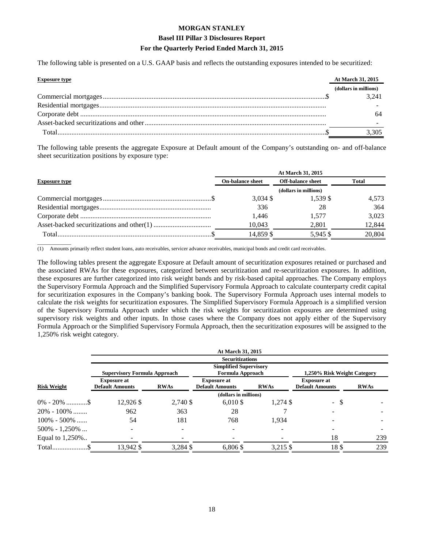The following table is presented on a U.S. GAAP basis and reflects the outstanding exposures intended to be securitized:

| <b>Exposure type</b> | At March 31, 2015     |
|----------------------|-----------------------|
|                      | (dollars in millions) |
|                      | 3.241                 |
|                      |                       |
|                      |                       |
|                      |                       |
|                      | 3,305                 |

The following table presents the aggregate Exposure at Default amount of the Company's outstanding on- and off-balance sheet securitization positions by exposure type:

| At March 31, 2015       |                          |              |  |
|-------------------------|--------------------------|--------------|--|
| <b>On-balance sheet</b> | <b>Off-balance sheet</b> | <b>Total</b> |  |
| (dollars in millions)   |                          |              |  |
| $3,034$ \$              | 1.539 \$                 | 4,573        |  |
| 336                     | 28                       | 364          |  |
| 1.446                   | 1.577                    | 3.023        |  |
| 10.043                  | 2,801                    | 12.844       |  |
| 14,859 \$               | 5,945 \$                 | 20,804       |  |
|                         |                          |              |  |

 $\overline{\phantom{a}}$  , where  $\overline{\phantom{a}}$ (1) Amounts primarily reflect student loans, auto receivables, servicer advance receivables, municipal bonds and credit card receivables.

The following tables present the aggregate Exposure at Default amount of securitization exposures retained or purchased and the associated RWAs for these exposures, categorized between securitization and re-securitization exposures. In addition, these exposures are further categorized into risk weight bands and by risk-based capital approaches. The Company employs the Supervisory Formula Approach and the Simplified Supervisory Formula Approach to calculate counterparty credit capital for securitization exposures in the Company's banking book. The Supervisory Formula Approach uses internal models to calculate the risk weights for securitization exposures. The Simplified Supervisory Formula Approach is a simplified version of the Supervisory Formula Approach under which the risk weights for securitization exposures are determined using supervisory risk weights and other inputs. In those cases where the Company does not apply either of the Supervisory Formula Approach or the Simplified Supervisory Formula Approach, then the securitization exposures will be assigned to the 1,250% risk weight category.

|                    | At March 31, 2015                            |             |                                                   |             |                                              |             |
|--------------------|----------------------------------------------|-------------|---------------------------------------------------|-------------|----------------------------------------------|-------------|
|                    |                                              |             | <b>Securitizations</b>                            |             |                                              |             |
|                    | <b>Supervisory Formula Approach</b>          |             | <b>Simplified Supervisory</b><br>Formula Approach |             | 1,250% Risk Weight Category                  |             |
| <b>Risk Weight</b> | <b>Exposure at</b><br><b>Default Amounts</b> | <b>RWAs</b> | <b>Exposure at</b><br><b>Default Amounts</b>      | <b>RWAs</b> | <b>Exposure at</b><br><b>Default Amounts</b> | <b>RWAs</b> |
|                    |                                              |             | (dollars in millions)                             |             |                                              |             |
|                    | 12,926 \$                                    | 2,740 \$    | $6,010$ \$                                        | 1,274 \$    | - \$                                         |             |
| $20\% - 100\%$     | 962                                          | 363         | 28                                                |             |                                              |             |
| $100\% - 500\%$    | 54                                           | 181         | 768                                               | 1,934       |                                              |             |
| $500\% - 1,250\%$  |                                              |             |                                                   |             |                                              |             |
| Equal to 1,250%    |                                              |             |                                                   |             | 18                                           | 239         |
|                    | 13,942 \$                                    | 3,284 \$    | 6,806 \$                                          | 3,215 \$    | 18\$                                         | 239         |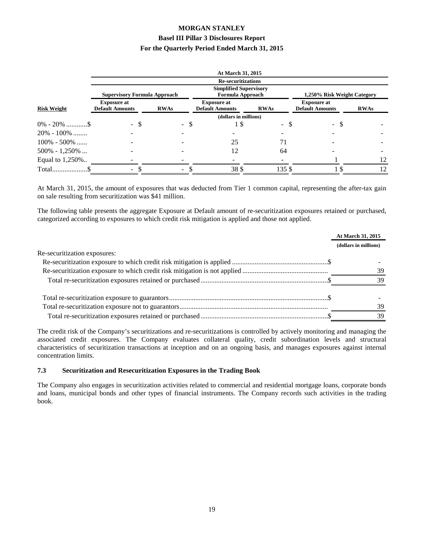|                    |                                              |             | At March 31, 2015                                 |             |                                              |                             |
|--------------------|----------------------------------------------|-------------|---------------------------------------------------|-------------|----------------------------------------------|-----------------------------|
|                    |                                              |             | <b>Re-securitizations</b>                         |             |                                              |                             |
|                    | <b>Supervisory Formula Approach</b>          |             | <b>Simplified Supervisory</b><br>Formula Approach |             |                                              | 1,250% Risk Weight Category |
| <b>Risk Weight</b> | <b>Exposure at</b><br><b>Default Amounts</b> | <b>RWAs</b> | <b>Exposure at</b><br><b>Default Amounts</b>      | <b>RWAs</b> | <b>Exposure at</b><br><b>Default Amounts</b> | <b>RWAs</b>                 |
|                    |                                              |             | (dollars in millions)                             |             |                                              |                             |
|                    | - \$                                         | - \$        | 15                                                | - \$        | - \$                                         |                             |
| $20\% - 100\%$     |                                              |             |                                                   |             |                                              |                             |
| $100\% - 500\%$    |                                              |             | 25                                                | 71          |                                              |                             |
| $500\% - 1,250\%$  |                                              |             | 12                                                | 64          |                                              |                             |
| Equal to 1,250%    |                                              |             |                                                   |             |                                              | 12                          |
|                    | $\sim$                                       | Ξ.          | 38\$                                              | 135 \$      |                                              | 12                          |

At March 31, 2015, the amount of exposures that was deducted from Tier 1 common capital, representing the after-tax gain on sale resulting from securitization was \$41 million.

The following table presents the aggregate Exposure at Default amount of re-securitization exposures retained or purchased, categorized according to exposures to which credit risk mitigation is applied and those not applied.

|                              | At March 31, 2015     |
|------------------------------|-----------------------|
|                              | (dollars in millions) |
| Re-securitization exposures: |                       |
|                              |                       |
|                              | 39                    |
|                              | 39                    |
|                              |                       |
|                              | 39                    |
|                              | 39                    |
|                              |                       |

The credit risk of the Company's securitizations and re-securitizations is controlled by actively monitoring and managing the associated credit exposures. The Company evaluates collateral quality, credit subordination levels and structural characteristics of securitization transactions at inception and on an ongoing basis, and manages exposures against internal concentration limits.

#### **7.3 Securitization and Resecuritization Exposures in the Trading Book**

The Company also engages in securitization activities related to commercial and residential mortgage loans, corporate bonds and loans, municipal bonds and other types of financial instruments. The Company records such activities in the trading book.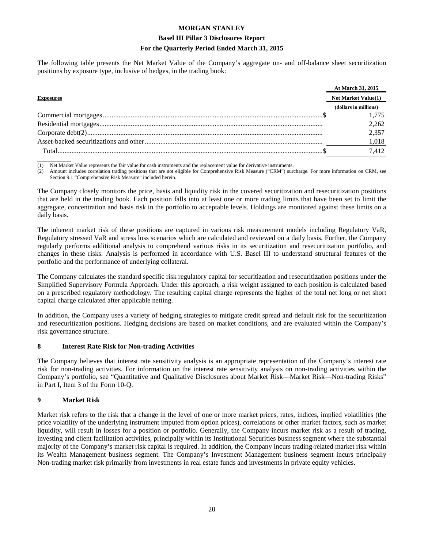#### **Basel III Pillar 3 Disclosures Report**

#### **For the Quarterly Period Ended March 31, 2015**

The following table presents the Net Market Value of the Company's aggregate on- and off-balance sheet securitization positions by exposure type, inclusive of hedges, in the trading book:

|                  | At March 31, 2015     |
|------------------|-----------------------|
| <b>Exposures</b> | Net Market Value(1)   |
|                  | (dollars in millions) |
|                  | 1.775                 |
|                  | 2.262                 |
|                  | 2.357                 |
|                  | 1,018                 |
| Total            | 7.412                 |

 $\overline{\phantom{a}}$  , where  $\overline{\phantom{a}}$ (1) Net Market Value represents the fair value for cash instruments and the replacement value for derivative instruments.

(2) Amount includes correlation trading positions that are not eligible for Comprehensive Risk Measure ("CRM") surcharge. For more information on CRM, see Section 9.1 "Comprehensive Risk Measure" included herein.

The Company closely monitors the price, basis and liquidity risk in the covered securitization and resecuritization positions that are held in the trading book. Each position falls into at least one or more trading limits that have been set to limit the aggregate, concentration and basis risk in the portfolio to acceptable levels. Holdings are monitored against these limits on a daily basis.

The inherent market risk of these positions are captured in various risk measurement models including Regulatory VaR, Regulatory stressed VaR and stress loss scenarios which are calculated and reviewed on a daily basis. Further, the Company regularly performs additional analysis to comprehend various risks in its securitization and resecuritization portfolio, and changes in these risks. Analysis is performed in accordance with U.S. Basel III to understand structural features of the portfolio and the performance of underlying collateral.

The Company calculates the standard specific risk regulatory capital for securitization and resecuritization positions under the Simplified Supervisory Formula Approach. Under this approach, a risk weight assigned to each position is calculated based on a prescribed regulatory methodology. The resulting capital charge represents the higher of the total net long or net short capital charge calculated after applicable netting.

In addition, the Company uses a variety of hedging strategies to mitigate credit spread and default risk for the securitization and resecuritization positions. Hedging decisions are based on market conditions, and are evaluated within the Company's risk governance structure.

#### **8 Interest Rate Risk for Non-trading Activities**

The Company believes that interest rate sensitivity analysis is an appropriate representation of the Company's interest rate risk for non-trading activities. For information on the interest rate sensitivity analysis on non-trading activities within the Company's portfolio, see "Quantitative and Qualitative Disclosures about Market Risk—Market Risk—Non-trading Risks" in Part I, Item 3 of the Form 10-Q.

#### **9 Market Risk**

Market risk refers to the risk that a change in the level of one or more market prices, rates, indices, implied volatilities (the price volatility of the underlying instrument imputed from option prices), correlations or other market factors, such as market liquidity, will result in losses for a position or portfolio. Generally, the Company incurs market risk as a result of trading, investing and client facilitation activities, principally within its Institutional Securities business segment where the substantial majority of the Company's market risk capital is required. In addition, the Company incurs trading-related market risk within its Wealth Management business segment. The Company's Investment Management business segment incurs principally Non-trading market risk primarily from investments in real estate funds and investments in private equity vehicles.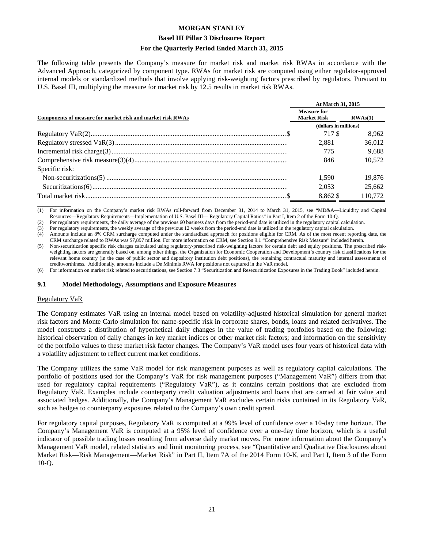#### **Basel III Pillar 3 Disclosures Report**

#### **For the Quarterly Period Ended March 31, 2015**

The following table presents the Company's measure for market risk and market risk RWAs in accordance with the Advanced Approach, categorized by component type. RWAs for market risk are computed using either regulator-approved internal models or standardized methods that involve applying risk-weighting factors prescribed by regulators. Pursuant to U.S. Basel III, multiplying the measure for market risk by 12.5 results in market risk RWAs.

|                                                            |                                          | At March 31, 2015 |  |
|------------------------------------------------------------|------------------------------------------|-------------------|--|
| Components of measure for market risk and market risk RWAs | <b>Measure for</b><br><b>Market Risk</b> | RWAs(1)           |  |
|                                                            | (dollars in millions)                    |                   |  |
|                                                            | 717 \$                                   | 8.962             |  |
|                                                            | 2.881                                    | 36,012            |  |
|                                                            | 775                                      | 9.688             |  |
|                                                            | 846                                      | 10.572            |  |
| Specific risk:                                             |                                          |                   |  |
|                                                            | 1.590                                    | 19.876            |  |
|                                                            | 2,053                                    | 25,662            |  |
|                                                            | 8.862 \$                                 | 110.772           |  |

 $\overline{\phantom{a}}$  , where  $\overline{\phantom{a}}$ (1) For information on the Company's market risk RWAs roll-forward from December 31, 2014 to March 31, 2015, see "MD&A—Liquidity and Capital Resources—Regulatory Requirements—Implementation of U.S. Basel III— Regulatory Capital Ratios" in Part I, Item 2 of the Form 10-Q.

(2) Per regulatory requirements, the daily average of the previous 60 business days from the period-end date is utilized in the regulatory capital calculation.

(3) Per regulatory requirements, the weekly average of the previous 12 weeks from the period-end date is utilized in the regulatory capital calculation.

(4) Amounts include an 8% CRM surcharge computed under the standardized approach for positions eligible for CRM. As of the most recent reporting date, the CRM surcharge related to RWAs was \$7,897 million. For more information on CRM, see Section 9.1 "Comprehensive Risk Measure" included herein.

(5) Non-securitization specific risk charges calculated using regulatory-prescribed risk-weighting factors for certain debt and equity positions. The prescribed riskweighting factors are generally based on, among other things, the Organization for Economic Cooperation and Development's country risk classifications for the relevant home country (in the case of public sector and depository institution debt positions), the remaining contractual maturity and internal assessments of creditworthiness. Additionally, amounts include a De Minimis RWA for positions not captured in the VaR model.

(6) For information on market risk related to securitizations, see Section 7.3 "Securitization and Resecuritization Exposures in the Trading Book" included herein.

#### **9.1 Model Methodology, Assumptions and Exposure Measures**

#### Regulatory VaR

The Company estimates VaR using an internal model based on volatility-adjusted historical simulation for general market risk factors and Monte Carlo simulation for name-specific risk in corporate shares, bonds, loans and related derivatives. The model constructs a distribution of hypothetical daily changes in the value of trading portfolios based on the following: historical observation of daily changes in key market indices or other market risk factors; and information on the sensitivity of the portfolio values to these market risk factor changes. The Company's VaR model uses four years of historical data with a volatility adjustment to reflect current market conditions.

The Company utilizes the same VaR model for risk management purposes as well as regulatory capital calculations. The portfolio of positions used for the Company's VaR for risk management purposes ("Management VaR") differs from that used for regulatory capital requirements ("Regulatory VaR"), as it contains certain positions that are excluded from Regulatory VaR. Examples include counterparty credit valuation adjustments and loans that are carried at fair value and associated hedges. Additionally, the Company's Management VaR excludes certain risks contained in its Regulatory VaR, such as hedges to counterparty exposures related to the Company's own credit spread.

For regulatory capital purposes, Regulatory VaR is computed at a 99% level of confidence over a 10-day time horizon. The Company's Management VaR is computed at a 95% level of confidence over a one-day time horizon, which is a useful indicator of possible trading losses resulting from adverse daily market moves. For more information about the Company's Management VaR model, related statistics and limit monitoring process, see "Quantitative and Qualitative Disclosures about Market Risk—Risk Management—Market Risk" in Part II, Item 7A of the 2014 Form 10-K, and Part I, Item 3 of the Form 10-Q.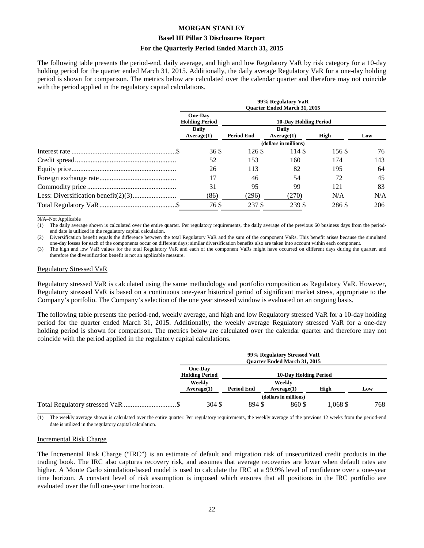#### **Basel III Pillar 3 Disclosures Report**

#### **For the Quarterly Period Ended March 31, 2015**

The following table presents the period-end, daily average, and high and low Regulatory VaR by risk category for a 10-day holding period for the quarter ended March 31, 2015. Additionally, the daily average Regulatory VaR for a one-day holding period is shown for comparison. The metrics below are calculated over the calendar quarter and therefore may not coincide with the period applied in the regulatory capital calculations.

|  | 99% Regulatory VaR<br><b>Ouarter Ended March 31, 2015</b>      |                              |                     |        |     |
|--|----------------------------------------------------------------|------------------------------|---------------------|--------|-----|
|  | <b>One-Day</b><br><b>Holding Period</b><br>Daily<br>Average(1) | <b>10-Day Holding Period</b> |                     |        |     |
|  |                                                                | <b>Period End</b>            | Daily<br>Average(1) | High   | Low |
|  | (dollars in millions)                                          |                              |                     |        |     |
|  | 36 \$                                                          | 126S                         | 114 \$              | 156 \$ | 76  |
|  | 52                                                             | 153                          | 160                 | 174    | 143 |
|  | 26                                                             | 113                          | 82                  | 195    | 64  |
|  | 17                                                             | 46                           | 54                  | 72     | 45  |
|  | 31                                                             | 95                           | 99                  | 121    | 83  |
|  | (86)                                                           | (296)                        | (270)               | N/A    | N/A |
|  | 76 S                                                           | 237 \$                       | 239 \$              | 286 \$ | 206 |

 $\overline{\phantom{a}}$  , where  $\overline{\phantom{a}}$ N/A–Not Applicable

(1) The daily average shown is calculated over the entire quarter. Per regulatory requirements, the daily average of the previous 60 business days from the periodend date is utilized in the regulatory capital calculation.

(2) Diversification benefit equals the difference between the total Regulatory VaR and the sum of the component VaRs. This benefit arises because the simulated one-day losses for each of the components occur on different days; similar diversification benefits also are taken into account within each component.

(3) The high and low VaR values for the total Regulatory VaR and each of the component VaRs might have occurred on different days during the quarter, and therefore the diversification benefit is not an applicable measure.

#### Regulatory Stressed VaR

Regulatory stressed VaR is calculated using the same methodology and portfolio composition as Regulatory VaR. However, Regulatory stressed VaR is based on a continuous one-year historical period of significant market stress, appropriate to the Company's portfolio. The Company's selection of the one year stressed window is evaluated on an ongoing basis.

The following table presents the period-end, weekly average, and high and low Regulatory stressed VaR for a 10-day holding period for the quarter ended March 31, 2015. Additionally, the weekly average Regulatory stressed VaR for a one-day holding period is shown for comparison. The metrics below are calculated over the calendar quarter and therefore may not coincide with the period applied in the regulatory capital calculations.

|  | 99% Regulatory Stressed VaR<br><b>Ouarter Ended March 31, 2015</b> |                   |                              |       |     |
|--|--------------------------------------------------------------------|-------------------|------------------------------|-------|-----|
|  | One-Day<br><b>Holding Period</b><br>Weekly<br>Average(1)           |                   | <b>10-Day Holding Period</b> |       |     |
|  |                                                                    | <b>Period End</b> | Weeklv<br>Average(1)         | High  | Low |
|  |                                                                    |                   | (dollars in millions)        |       |     |
|  | 304 \$                                                             | 894 \$            | 860 \$                       | .068S | 768 |

(1) The weekly average shown is calculated over the entire quarter. Per regulatory requirements, the weekly average of the previous 12 weeks from the period-end date is utilized in the regulatory capital calculation.

#### Incremental Risk Charge

 $\overline{\phantom{a}}$  , where  $\overline{\phantom{a}}$ 

The Incremental Risk Charge ("IRC") is an estimate of default and migration risk of unsecuritized credit products in the trading book. The IRC also captures recovery risk, and assumes that average recoveries are lower when default rates are higher. A Monte Carlo simulation-based model is used to calculate the IRC at a 99.9% level of confidence over a one-year time horizon. A constant level of risk assumption is imposed which ensures that all positions in the IRC portfolio are evaluated over the full one-year time horizon.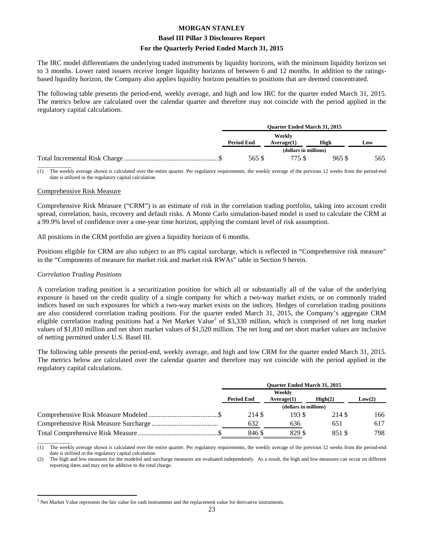#### **Basel III Pillar 3 Disclosures Report**

#### **For the Quarterly Period Ended March 31, 2015**

The IRC model differentiates the underlying traded instruments by liquidity horizons, with the minimum liquidity horizon set to 3 months. Lower rated issuers receive longer liquidity horizons of between 6 and 12 months. In addition to the ratingsbased liquidity horizon, the Company also applies liquidity horizon penalties to positions that are deemed concentrated.

The following table presents the period-end, weekly average, and high and low IRC for the quarter ended March 31, 2015. The metrics below are calculated over the calendar quarter and therefore may not coincide with the period applied in the regulatory capital calculations.

| <b>Ouarter Ended March 31, 2015</b> |                      |       |     |
|-------------------------------------|----------------------|-------|-----|
| <b>Period End</b>                   | Weekly<br>Average(1) | High  | Low |
| (dollars in millions)               |                      |       |     |
| 565 \$                              | 775 S                | 965 S | 565 |

 $\overline{\phantom{a}}$ (1) The weekly average shown is calculated over the entire quarter. Per regulatory requirements, the weekly average of the previous 12 weeks from the period-end date is utilized in the regulatory capital calculation.

#### Comprehensive Risk Measure

Comprehensive Risk Measure ("CRM") is an estimate of risk in the correlation trading portfolio, taking into account credit spread, correlation, basis, recovery and default risks. A Monte Carlo simulation-based model is used to calculate the CRM at a 99.9% level of confidence over a one-year time horizon, applying the constant level of risk assumption.

All positions in the CRM portfolio are given a liquidity horizon of 6 months.

Positions eligible for CRM are also subject to an 8% capital surcharge, which is reflected in "Comprehensive risk measure" in the "Components of measure for market risk and market risk RWAs" table in Section 9 herein.

#### *Correlation Trading Positions*

A correlation trading position is a securitization position for which all or substantially all of the value of the underlying exposure is based on the credit quality of a single company for which a two-way market exists, or on commonly traded indices based on such exposures for which a two-way market exists on the indices. Hedges of correlation trading positions are also considered correlation trading positions. For the quarter ended March 31, 2015, the Company's aggregate CRM eligible correlation trading positions had a Net Market Value<sup>2</sup> of \$3,330 million, which is comprised of net long market values of \$1,810 million and net short market values of \$1,520 million. The net long and net short market values are inclusive of netting permitted under U.S. Basel III.

The following table presents the period-end, weekly average, and high and low CRM for the quarter ended March 31, 2015. The metrics below are calculated over the calendar quarter and therefore may not coincide with the period applied in the regulatory capital calculations.

| <b>Ouarter Ended March 31, 2015</b>                  |        |        |        |
|------------------------------------------------------|--------|--------|--------|
| Weekly<br><b>Period End</b><br>Average(1)<br>High(2) |        |        | Low(2) |
| (dollars in millions)                                |        |        |        |
| 214 S                                                | 193S   | 214 \$ | 166    |
| 632                                                  | 636    | 651    | 617    |
| 846 S                                                | 829 \$ | 851 \$ | 798    |

 $\overline{\phantom{a}}$ (1) The weekly average shown is calculated over the entire quarter. Per regulatory requirements, the weekly average of the previous 12 weeks from the period-end date is utilized in the regulatory capital calculation.

(2) The high and low measures for the modeled and surcharge measures are evaluated independently. As a result, the high and low measures can occur on different reporting dates and may not be additive to the total charge.

 $\overline{a}$  $<sup>2</sup>$  Net Market Value represents the fair value for cash instruments and the replacement value for derivative instruments.</sup>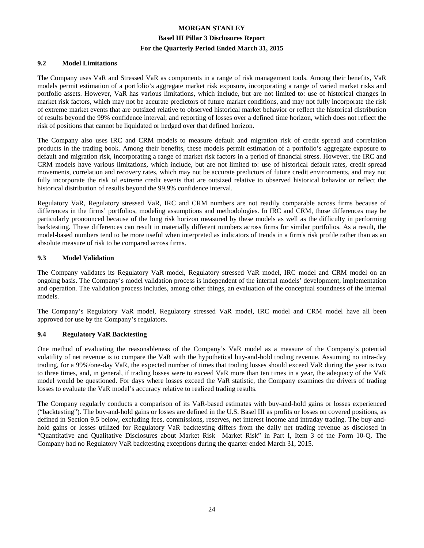#### **9.2 Model Limitations**

The Company uses VaR and Stressed VaR as components in a range of risk management tools. Among their benefits, VaR models permit estimation of a portfolio's aggregate market risk exposure, incorporating a range of varied market risks and portfolio assets. However, VaR has various limitations, which include, but are not limited to: use of historical changes in market risk factors, which may not be accurate predictors of future market conditions, and may not fully incorporate the risk of extreme market events that are outsized relative to observed historical market behavior or reflect the historical distribution of results beyond the 99% confidence interval; and reporting of losses over a defined time horizon, which does not reflect the risk of positions that cannot be liquidated or hedged over that defined horizon.

The Company also uses IRC and CRM models to measure default and migration risk of credit spread and correlation products in the trading book. Among their benefits, these models permit estimation of a portfolio's aggregate exposure to default and migration risk, incorporating a range of market risk factors in a period of financial stress. However, the IRC and CRM models have various limitations, which include, but are not limited to: use of historical default rates, credit spread movements, correlation and recovery rates, which may not be accurate predictors of future credit environments, and may not fully incorporate the risk of extreme credit events that are outsized relative to observed historical behavior or reflect the historical distribution of results beyond the 99.9% confidence interval.

Regulatory VaR, Regulatory stressed VaR, IRC and CRM numbers are not readily comparable across firms because of differences in the firms' portfolios, modeling assumptions and methodologies. In IRC and CRM, those differences may be particularly pronounced because of the long risk horizon measured by these models as well as the difficulty in performing backtesting. These differences can result in materially different numbers across firms for similar portfolios. As a result, the model-based numbers tend to be more useful when interpreted as indicators of trends in a firm's risk profile rather than as an absolute measure of risk to be compared across firms.

#### **9.3 Model Validation**

The Company validates its Regulatory VaR model, Regulatory stressed VaR model, IRC model and CRM model on an ongoing basis. The Company's model validation process is independent of the internal models' development, implementation and operation. The validation process includes, among other things, an evaluation of the conceptual soundness of the internal models.

The Company's Regulatory VaR model, Regulatory stressed VaR model, IRC model and CRM model have all been approved for use by the Company's regulators.

#### **9.4 Regulatory VaR Backtesting**

One method of evaluating the reasonableness of the Company's VaR model as a measure of the Company's potential volatility of net revenue is to compare the VaR with the hypothetical buy-and-hold trading revenue. Assuming no intra-day trading, for a 99%/one-day VaR, the expected number of times that trading losses should exceed VaR during the year is two to three times, and, in general, if trading losses were to exceed VaR more than ten times in a year, the adequacy of the VaR model would be questioned. For days where losses exceed the VaR statistic, the Company examines the drivers of trading losses to evaluate the VaR model's accuracy relative to realized trading results.

The Company regularly conducts a comparison of its VaR-based estimates with buy-and-hold gains or losses experienced ("backtesting"). The buy-and-hold gains or losses are defined in the U.S. Basel III as profits or losses on covered positions, as defined in Section 9.5 below, excluding fees, commissions, reserves, net interest income and intraday trading. The buy-andhold gains or losses utilized for Regulatory VaR backtesting differs from the daily net trading revenue as disclosed in "Quantitative and Qualitative Disclosures about Market Risk—Market Risk" in Part I, Item 3 of the Form 10-Q. The Company had no Regulatory VaR backtesting exceptions during the quarter ended March 31, 2015.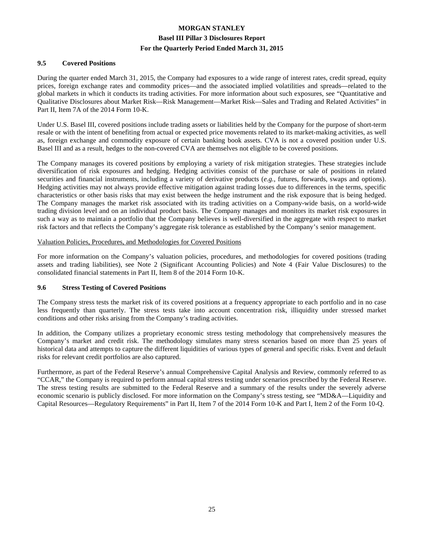#### **9.5 Covered Positions**

During the quarter ended March 31, 2015, the Company had exposures to a wide range of interest rates, credit spread, equity prices, foreign exchange rates and commodity prices—and the associated implied volatilities and spreads—related to the global markets in which it conducts its trading activities. For more information about such exposures, see "Quantitative and Qualitative Disclosures about Market Risk—Risk Management—Market Risk—Sales and Trading and Related Activities" in Part II, Item 7A of the 2014 Form 10-K.

Under U.S. Basel III, covered positions include trading assets or liabilities held by the Company for the purpose of short-term resale or with the intent of benefiting from actual or expected price movements related to its market-making activities, as well as, foreign exchange and commodity exposure of certain banking book assets. CVA is not a covered position under U.S. Basel III and as a result, hedges to the non-covered CVA are themselves not eligible to be covered positions.

The Company manages its covered positions by employing a variety of risk mitigation strategies. These strategies include diversification of risk exposures and hedging. Hedging activities consist of the purchase or sale of positions in related securities and financial instruments, including a variety of derivative products (*e.g.*, futures, forwards, swaps and options). Hedging activities may not always provide effective mitigation against trading losses due to differences in the terms, specific characteristics or other basis risks that may exist between the hedge instrument and the risk exposure that is being hedged. The Company manages the market risk associated with its trading activities on a Company-wide basis, on a world-wide trading division level and on an individual product basis. The Company manages and monitors its market risk exposures in such a way as to maintain a portfolio that the Company believes is well-diversified in the aggregate with respect to market risk factors and that reflects the Company's aggregate risk tolerance as established by the Company's senior management.

#### Valuation Policies, Procedures, and Methodologies for Covered Positions

For more information on the Company's valuation policies, procedures, and methodologies for covered positions (trading assets and trading liabilities), see Note 2 (Significant Accounting Policies) and Note 4 (Fair Value Disclosures) to the consolidated financial statements in Part II, Item 8 of the 2014 Form 10-K.

#### **9.6 Stress Testing of Covered Positions**

The Company stress tests the market risk of its covered positions at a frequency appropriate to each portfolio and in no case less frequently than quarterly. The stress tests take into account concentration risk, illiquidity under stressed market conditions and other risks arising from the Company's trading activities.

In addition, the Company utilizes a proprietary economic stress testing methodology that comprehensively measures the Company's market and credit risk. The methodology simulates many stress scenarios based on more than 25 years of historical data and attempts to capture the different liquidities of various types of general and specific risks. Event and default risks for relevant credit portfolios are also captured.

Furthermore, as part of the Federal Reserve's annual Comprehensive Capital Analysis and Review, commonly referred to as "CCAR," the Company is required to perform annual capital stress testing under scenarios prescribed by the Federal Reserve. The stress testing results are submitted to the Federal Reserve and a summary of the results under the severely adverse economic scenario is publicly disclosed. For more information on the Company's stress testing, see "MD&A—Liquidity and Capital Resources—Regulatory Requirements" in Part II, Item 7 of the 2014 Form 10-K and Part I, Item 2 of the Form 10-Q.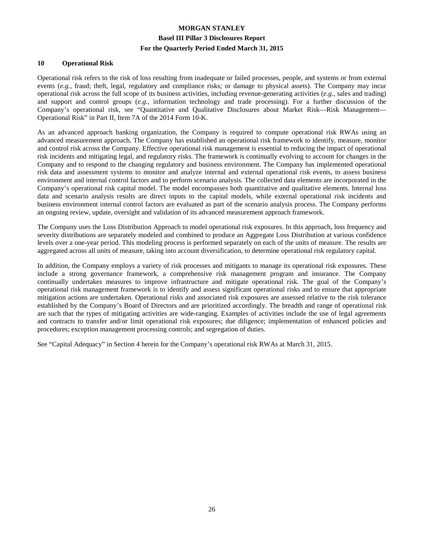#### **10 Operational Risk**

Operational risk refers to the risk of loss resulting from inadequate or failed processes, people, and systems or from external events (*e.g.*, fraud; theft, legal, regulatory and compliance risks; or damage to physical assets). The Company may incur operational risk across the full scope of its business activities, including revenue-generating activities (*e.g.*, sales and trading) and support and control groups (*e.g.*, information technology and trade processing). For a further discussion of the Company's operational risk, see "Quantitative and Qualitative Disclosures about Market Risk—Risk Management— Operational Risk" in Part II, Item 7A of the 2014 Form 10-K.

As an advanced approach banking organization, the Company is required to compute operational risk RWAs using an advanced measurement approach. The Company has established an operational risk framework to identify, measure, monitor and control risk across the Company. Effective operational risk management is essential to reducing the impact of operational risk incidents and mitigating legal, and regulatory risks. The framework is continually evolving to account for changes in the Company and to respond to the changing regulatory and business environment. The Company has implemented operational risk data and assessment systems to monitor and analyze internal and external operational risk events, to assess business environment and internal control factors and to perform scenario analysis. The collected data elements are incorporated in the Company's operational risk capital model. The model encompasses both quantitative and qualitative elements. Internal loss data and scenario analysis results are direct inputs to the capital models, while external operational risk incidents and business environment internal control factors are evaluated as part of the scenario analysis process. The Company performs an ongoing review, update, oversight and validation of its advanced measurement approach framework.

The Company uses the Loss Distribution Approach to model operational risk exposures. In this approach, loss frequency and severity distributions are separately modeled and combined to produce an Aggregate Loss Distribution at various confidence levels over a one-year period. This modeling process is performed separately on each of the units of measure. The results are aggregated across all units of measure, taking into account diversification, to determine operational risk regulatory capital.

In addition, the Company employs a variety of risk processes and mitigants to manage its operational risk exposures. These include a strong governance framework, a comprehensive risk management program and insurance. The Company continually undertakes measures to improve infrastructure and mitigate operational risk. The goal of the Company's operational risk management framework is to identify and assess significant operational risks and to ensure that appropriate mitigation actions are undertaken. Operational risks and associated risk exposures are assessed relative to the risk tolerance established by the Company's Board of Directors and are prioritized accordingly. The breadth and range of operational risk are such that the types of mitigating activities are wide-ranging. Examples of activities include the use of legal agreements and contracts to transfer and/or limit operational risk exposures; due diligence; implementation of enhanced policies and procedures; exception management processing controls; and segregation of duties.

See "Capital Adequacy" in Section 4 herein for the Company's operational risk RWAs at March 31, 2015.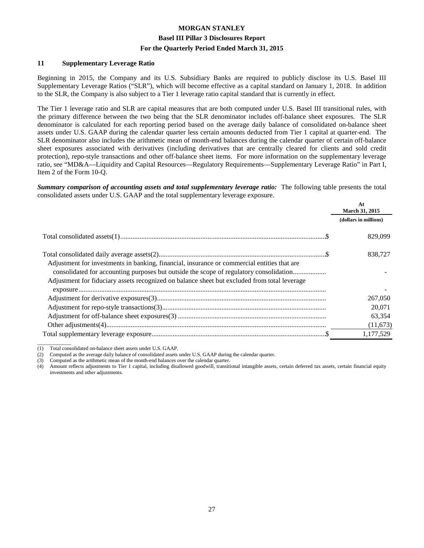#### **11 Supplementary Leverage Ratio**

Beginning in 2015, the Company and its U.S. Subsidiary Banks are required to publicly disclose its U.S. Basel III Supplementary Leverage Ratios ("SLR"), which will become effective as a capital standard on January 1, 2018. In addition to the SLR, the Company is also subject to a Tier 1 leverage ratio capital standard that is currently in effect.

The Tier 1 leverage ratio and SLR are capital measures that are both computed under U.S. Basel III transitional rules, with the primary difference between the two being that the SLR denominator includes off-balance sheet exposures. The SLR denominator is calculated for each reporting period based on the average daily balance of consolidated on-balance sheet assets under U.S. GAAP during the calendar quarter less certain amounts deducted from Tier 1 capital at quarter-end. The SLR denominator also includes the arithmetic mean of month-end balances during the calendar quarter of certain off-balance sheet exposures associated with derivatives (including derivatives that are centrally cleared for clients and sold credit protection), repo-style transactions and other off-balance sheet items. For more information on the supplementary leverage ratio, see "MD&A—Liquidity and Capital Resources—Regulatory Requirements—Supplementary Leverage Ratio" in Part I, Item 2 of the Form 10-Q.

*Summary comparison of accounting assets and total supplementary leverage ratio:* The following table presents the total consolidated assets under U.S. GAAP and the total supplementary leverage exposure.

|                                                                                                                                                                                                                                                                                       | At<br><b>March 31, 2015</b> |  |
|---------------------------------------------------------------------------------------------------------------------------------------------------------------------------------------------------------------------------------------------------------------------------------------|-----------------------------|--|
|                                                                                                                                                                                                                                                                                       | (dollars in millions)       |  |
|                                                                                                                                                                                                                                                                                       | 829.099                     |  |
| Adjustment for investments in banking, financial, insurance or commercial entities that are<br>consolidated for accounting purposes but outside the scope of regulatory consolidation<br>Adjustment for fiduciary assets recognized on balance sheet but excluded from total leverage | 838,727                     |  |
|                                                                                                                                                                                                                                                                                       |                             |  |
|                                                                                                                                                                                                                                                                                       | 267,050                     |  |
|                                                                                                                                                                                                                                                                                       | 20,071                      |  |
|                                                                                                                                                                                                                                                                                       | 63.354                      |  |
|                                                                                                                                                                                                                                                                                       | (11,673)                    |  |
|                                                                                                                                                                                                                                                                                       | 1,177,529                   |  |

(1) Total consolidated on-balance sheet assets under U.S. GAAP.

 $\overline{\phantom{a}}$  , where  $\overline{\phantom{a}}$ 

(4) Amount reflects adjustments to Tier 1 capital, including disallowed goodwill, transitional intangible assets, certain deferred tax assets, certain financial equity investments and other adjustments.

<sup>(2)</sup> Computed as the average daily balance of consolidated assets under U.S. GAAP during the calendar quarter.

<sup>(3)</sup> Computed as the arithmetic mean of the month-end balances over the calendar quarter.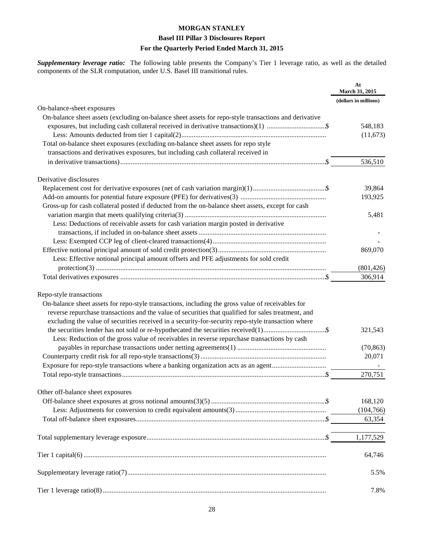# **MORGAN STANLEY Basel III Pillar 3 Disclosures Report**

### **For the Quarterly Period Ended March 31, 2015**

*Supplementary leverage ratio:* The following table presents the Company's Tier 1 leverage ratio, as well as the detailed components of the SLR computation, under U.S. Basel III transitional rules.

|                                                                                                       | At<br>March 31, 2015  |
|-------------------------------------------------------------------------------------------------------|-----------------------|
|                                                                                                       | (dollars in millions) |
| On-balance-sheet exposures                                                                            |                       |
| On-balance sheet assets (excluding on-balance sheet assets for repo-style transactions and derivative |                       |
|                                                                                                       | 548,183               |
|                                                                                                       | (11,673)              |
| Total on-balance sheet exposures (excluding on-balance sheet assets for repo style                    |                       |
| transactions and derivatives exposures, but including cash collateral received in                     |                       |
|                                                                                                       | 536,510               |
| Derivative disclosures                                                                                |                       |
|                                                                                                       | 39,864                |
|                                                                                                       | 193,925               |
| Gross-up for cash collateral posted if deducted from the on-balance sheet assets, except for cash     |                       |
|                                                                                                       | 5,481                 |
| Less: Deductions of receivable assets for cash variation margin posted in derivative                  |                       |
|                                                                                                       |                       |
|                                                                                                       |                       |
|                                                                                                       | 869,070               |
| Less: Effective notional principal amount offsets and PFE adjustments for sold credit                 |                       |
|                                                                                                       | (801, 426)            |
|                                                                                                       | 306,914               |
|                                                                                                       |                       |
| Repo-style transactions                                                                               |                       |
| On-balance sheet assets for repo-style transactions, including the gross value of receivables for     |                       |
| reverse repurchase transactions and the value of securities that qualified for sales treatment, and   |                       |
| excluding the value of securities received in a security-for-security repo-style transaction where    |                       |
|                                                                                                       | 321,543               |
| Less: Reduction of the gross value of receivables in reverse repurchase transactions by cash          |                       |
|                                                                                                       | (70, 863)             |
|                                                                                                       | 20,071                |
|                                                                                                       |                       |
|                                                                                                       | 270,751               |
|                                                                                                       |                       |
| Other off-balance sheet exposures                                                                     |                       |
|                                                                                                       | 168,120               |
|                                                                                                       | (104, 766)            |
|                                                                                                       | 63,354                |
|                                                                                                       | 1,177,529             |
|                                                                                                       | 64,746                |
|                                                                                                       | 5.5%                  |
|                                                                                                       | 7.8%                  |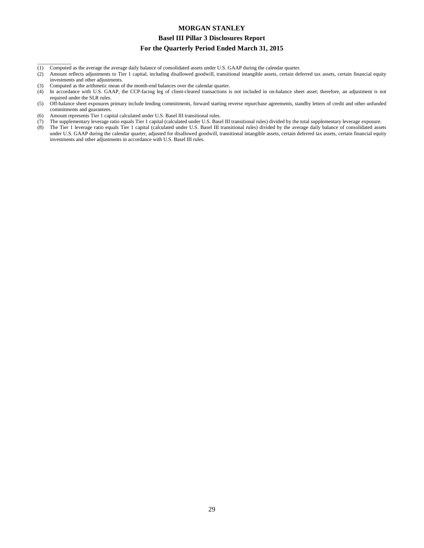#### **Basel III Pillar 3 Disclosures Report**

#### **For the Quarterly Period Ended March 31, 2015**

- (1) Computed as the average the average daily balance of consolidated assets under U.S. GAAP during the calendar quarter.
- (2) Amount reflects adjustments to Tier 1 capital, including disallowed goodwill, transitional intangible assets, certain deferred tax assets, certain financial equity investments and other adjustments.
- (3) Computed as the arithmetic mean of the month-end balances over the calendar quarter.<br>
(4) In accordance with U.S. GAAP, the CCP-facing leg of client-cleared transactions is

 $\overline{\phantom{a}}$  , where  $\overline{\phantom{a}}$ 

- In accordance with U.S. GAAP, the CCP-facing leg of client-cleared transactions is not included in on-balance sheet asset; therefore, an adjustment is not required under the SLR rules.
- (5) Off-balance sheet exposures primary include lending commitments, forward starting reverse repurchase agreements, standby letters of credit and other unfunded commitments and guarantees.
- (6) Amount represents Tier 1 capital calculated under U.S. Basel III transitional rules.
- (7) The supplementary leverage ratio equals Tier 1 capital (calculated under U.S. Basel III transitional rules) divided by the total supplementary leverage exposure.
- (8) The Tier 1 leverage ratio equals Tier 1 capital (calculated under U.S. Basel III transitional rules) divided by the average daily balance of consolidated assets under U.S. GAAP during the calendar quarter, adjusted for disallowed goodwill, transitional intangible assets, certain deferred tax assets, certain financial equity investments and other adjustments in accordance with U.S. Basel III rules.